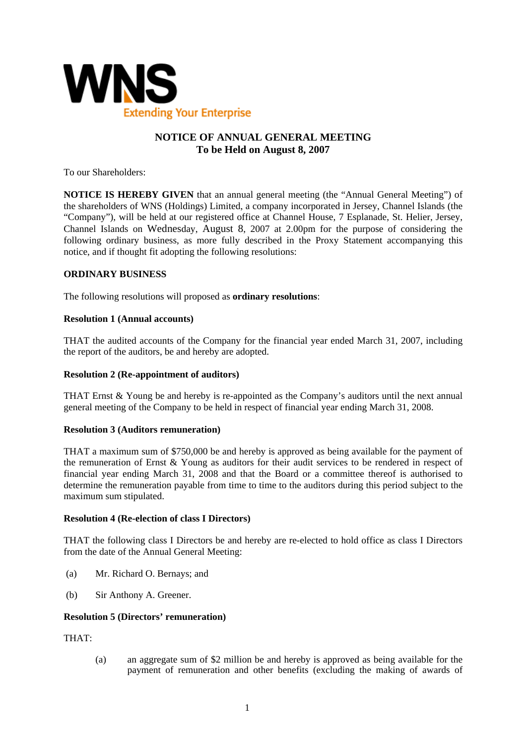

# **NOTICE OF ANNUAL GENERAL MEETING To be Held on August 8, 2007**

To our Shareholders:

**NOTICE IS HEREBY GIVEN** that an annual general meeting (the "Annual General Meeting") of the shareholders of WNS (Holdings) Limited, a company incorporated in Jersey, Channel Islands (the "Company"), will be held at our registered office at Channel House, 7 Esplanade, St. Helier, Jersey, Channel Islands on Wednesday, August 8, 2007 at 2.00pm for the purpose of considering the following ordinary business, as more fully described in the Proxy Statement accompanying this notice, and if thought fit adopting the following resolutions:

# **ORDINARY BUSINESS**

The following resolutions will proposed as **ordinary resolutions**:

#### **Resolution 1 (Annual accounts)**

THAT the audited accounts of the Company for the financial year ended March 31, 2007, including the report of the auditors, be and hereby are adopted.

#### **Resolution 2 (Re-appointment of auditors)**

THAT Ernst & Young be and hereby is re-appointed as the Company's auditors until the next annual general meeting of the Company to be held in respect of financial year ending March 31, 2008.

#### **Resolution 3 (Auditors remuneration)**

THAT a maximum sum of \$750,000 be and hereby is approved as being available for the payment of the remuneration of Ernst & Young as auditors for their audit services to be rendered in respect of financial year ending March 31, 2008 and that the Board or a committee thereof is authorised to determine the remuneration payable from time to time to the auditors during this period subject to the maximum sum stipulated.

#### **Resolution 4 (Re-election of class I Directors)**

THAT the following class I Directors be and hereby are re-elected to hold office as class I Directors from the date of the Annual General Meeting:

- (a) Mr. Richard O. Bernays; and
- (b) Sir Anthony A. Greener.

#### **Resolution 5 (Directors' remuneration)**

THAT:

(a) an aggregate sum of \$2 million be and hereby is approved as being available for the payment of remuneration and other benefits (excluding the making of awards of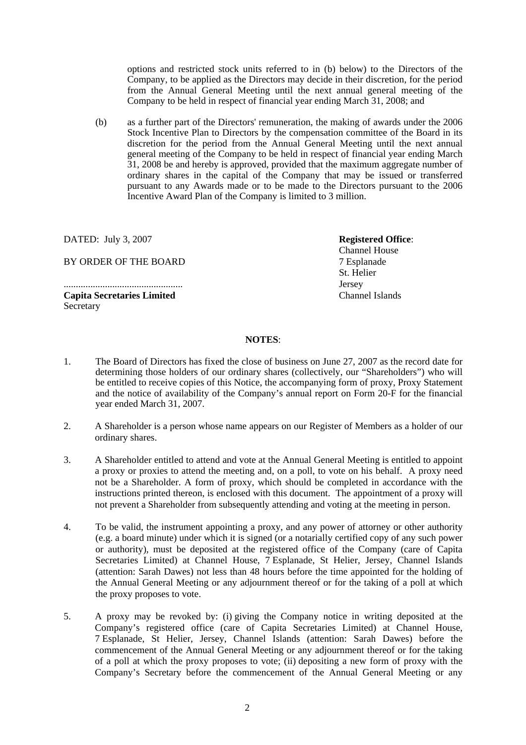options and restricted stock units referred to in (b) below) to the Directors of the Company, to be applied as the Directors may decide in their discretion, for the period from the Annual General Meeting until the next annual general meeting of the Company to be held in respect of financial year ending March 31, 2008; and

(b) as a further part of the Directors' remuneration, the making of awards under the 2006 Stock Incentive Plan to Directors by the compensation committee of the Board in its discretion for the period from the Annual General Meeting until the next annual general meeting of the Company to be held in respect of financial year ending March 31, 2008 be and hereby is approved, provided that the maximum aggregate number of ordinary shares in the capital of the Company that may be issued or transferred pursuant to any Awards made or to be made to the Directors pursuant to the 2006 Incentive Award Plan of the Company is limited to 3 million.

DATED: July 3, 2007

BY ORDER OF THE BOARD

................................................. **Capita Secretaries Limited Secretary** 

**Registered Office**: Channel House 7 Esplanade St. Helier Jersey Channel Islands

#### **NOTES**:

- 1. The Board of Directors has fixed the close of business on June 27, 2007 as the record date for determining those holders of our ordinary shares (collectively, our "Shareholders") who will be entitled to receive copies of this Notice, the accompanying form of proxy, Proxy Statement and the notice of availability of the Company's annual report on Form 20-F for the financial year ended March 31, 2007.
- 2. A Shareholder is a person whose name appears on our Register of Members as a holder of our ordinary shares.
- 3. A Shareholder entitled to attend and vote at the Annual General Meeting is entitled to appoint a proxy or proxies to attend the meeting and, on a poll, to vote on his behalf. A proxy need not be a Shareholder. A form of proxy, which should be completed in accordance with the instructions printed thereon, is enclosed with this document. The appointment of a proxy will not prevent a Shareholder from subsequently attending and voting at the meeting in person.
- 4. To be valid, the instrument appointing a proxy, and any power of attorney or other authority (e.g. a board minute) under which it is signed (or a notarially certified copy of any such power or authority), must be deposited at the registered office of the Company (care of Capita Secretaries Limited) at Channel House, 7 Esplanade, St Helier, Jersey, Channel Islands (attention: Sarah Dawes) not less than 48 hours before the time appointed for the holding of the Annual General Meeting or any adjournment thereof or for the taking of a poll at which the proxy proposes to vote.
- 5. A proxy may be revoked by: (i) giving the Company notice in writing deposited at the Company's registered office (care of Capita Secretaries Limited) at Channel House, 7 Esplanade, St Helier, Jersey, Channel Islands (attention: Sarah Dawes) before the commencement of the Annual General Meeting or any adjournment thereof or for the taking of a poll at which the proxy proposes to vote; (ii) depositing a new form of proxy with the Company's Secretary before the commencement of the Annual General Meeting or any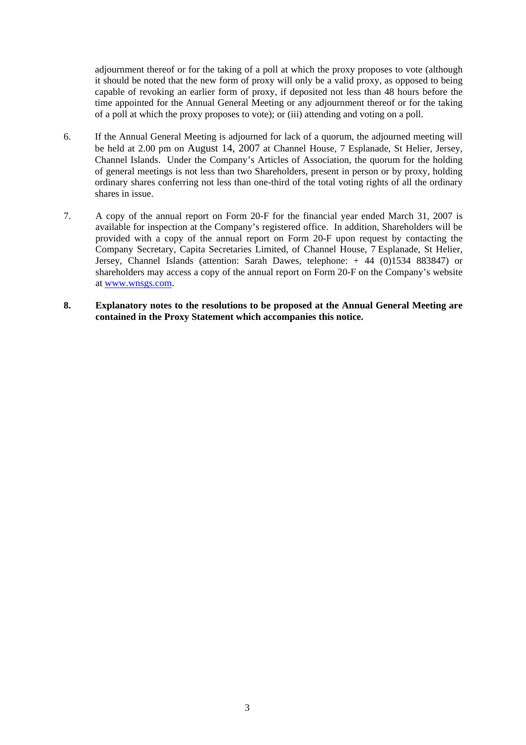adjournment thereof or for the taking of a poll at which the proxy proposes to vote (although it should be noted that the new form of proxy will only be a valid proxy, as opposed to being capable of revoking an earlier form of proxy, if deposited not less than 48 hours before the time appointed for the Annual General Meeting or any adjournment thereof or for the taking of a poll at which the proxy proposes to vote); or (iii) attending and voting on a poll.

- 6. If the Annual General Meeting is adjourned for lack of a quorum, the adjourned meeting will be held at 2.00 pm on August 14, 2007 at Channel House, 7 Esplanade, St Helier, Jersey, Channel Islands. Under the Company's Articles of Association, the quorum for the holding of general meetings is not less than two Shareholders, present in person or by proxy, holding ordinary shares conferring not less than one-third of the total voting rights of all the ordinary shares in issue.
- 7. A copy of the annual report on Form 20-F for the financial year ended March 31, 2007 is available for inspection at the Company's registered office. In addition, Shareholders will be provided with a copy of the annual report on Form 20-F upon request by contacting the Company Secretary, Capita Secretaries Limited, of Channel House, 7 Esplanade, St Helier, Jersey, Channel Islands (attention: Sarah Dawes, telephone: + 44 (0)1534 883847) or shareholders may access a copy of the annual report on Form 20-F on the Company's website at www.wnsgs.com.
- **8. Explanatory notes to the resolutions to be proposed at the Annual General Meeting are contained in the Proxy Statement which accompanies this notice.**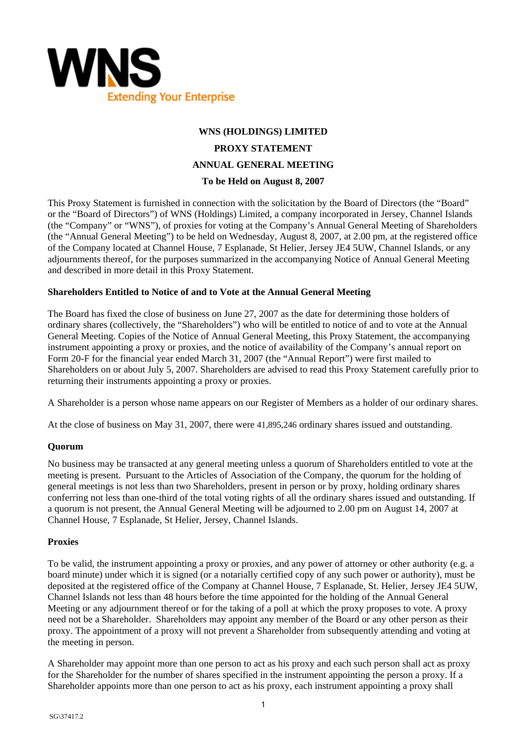

# **WNS (HOLDINGS) LIMITED PROXY STATEMENT ANNUAL GENERAL MEETING To be Held on August 8, 2007**

This Proxy Statement is furnished in connection with the solicitation by the Board of Directors (the "Board" or the "Board of Directors") of WNS (Holdings) Limited, a company incorporated in Jersey, Channel Islands (the "Company" or "WNS"), of proxies for voting at the Company's Annual General Meeting of Shareholders (the "Annual General Meeting") to be held on Wednesday, August 8, 2007, at 2.00 pm, at the registered office of the Company located at Channel House, 7 Esplanade, St Helier, Jersey JE4 5UW, Channel Islands, or any adjournments thereof, for the purposes summarized in the accompanying Notice of Annual General Meeting and described in more detail in this Proxy Statement.

# **Shareholders Entitled to Notice of and to Vote at the Annual General Meeting**

The Board has fixed the close of business on June 27, 2007 as the date for determining those holders of ordinary shares (collectively, the "Shareholders") who will be entitled to notice of and to vote at the Annual General Meeting. Copies of the Notice of Annual General Meeting, this Proxy Statement, the accompanying instrument appointing a proxy or proxies, and the notice of availability of the Company's annual report on Form 20-F for the financial year ended March 31, 2007 (the "Annual Report") were first mailed to Shareholders on or about July 5, 2007. Shareholders are advised to read this Proxy Statement carefully prior to returning their instruments appointing a proxy or proxies.

A Shareholder is a person whose name appears on our Register of Members as a holder of our ordinary shares.

At the close of business on May 31, 2007, there were 41,895,246 ordinary shares issued and outstanding.

#### **Quorum**

No business may be transacted at any general meeting unless a quorum of Shareholders entitled to vote at the meeting is present. Pursuant to the Articles of Association of the Company, the quorum for the holding of general meetings is not less than two Shareholders, present in person or by proxy, holding ordinary shares conferring not less than one-third of the total voting rights of all the ordinary shares issued and outstanding. If a quorum is not present, the Annual General Meeting will be adjourned to 2.00 pm on August 14, 2007 at Channel House, 7 Esplanade, St Helier, Jersey, Channel Islands.

#### **Proxies**

To be valid, the instrument appointing a proxy or proxies, and any power of attorney or other authority (e.g. a board minute) under which it is signed (or a notarially certified copy of any such power or authority), must be deposited at the registered office of the Company at Channel House, 7 Esplanade, St. Helier, Jersey JE4 5UW, Channel Islands not less than 48 hours before the time appointed for the holding of the Annual General Meeting or any adjournment thereof or for the taking of a poll at which the proxy proposes to vote. A proxy need not be a Shareholder. Shareholders may appoint any member of the Board or any other person as their proxy. The appointment of a proxy will not prevent a Shareholder from subsequently attending and voting at the meeting in person.

A Shareholder may appoint more than one person to act as his proxy and each such person shall act as proxy for the Shareholder for the number of shares specified in the instrument appointing the person a proxy. If a Shareholder appoints more than one person to act as his proxy, each instrument appointing a proxy shall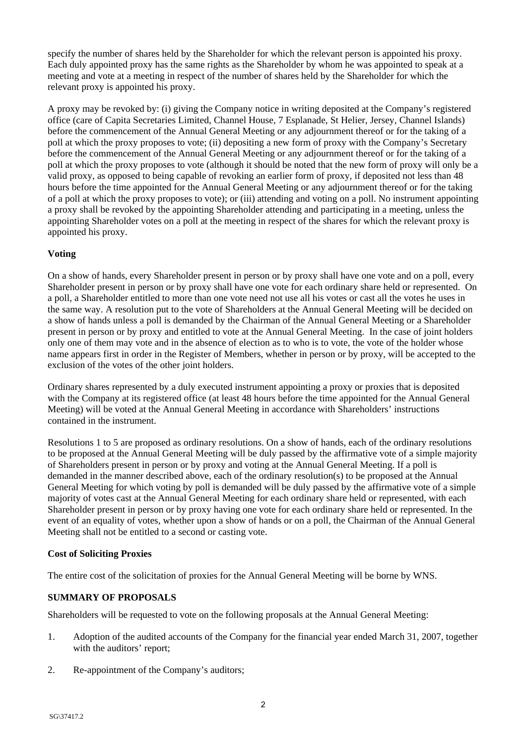specify the number of shares held by the Shareholder for which the relevant person is appointed his proxy. Each duly appointed proxy has the same rights as the Shareholder by whom he was appointed to speak at a meeting and vote at a meeting in respect of the number of shares held by the Shareholder for which the relevant proxy is appointed his proxy.

A proxy may be revoked by: (i) giving the Company notice in writing deposited at the Company's registered office (care of Capita Secretaries Limited, Channel House, 7 Esplanade, St Helier, Jersey, Channel Islands) before the commencement of the Annual General Meeting or any adjournment thereof or for the taking of a poll at which the proxy proposes to vote; (ii) depositing a new form of proxy with the Company's Secretary before the commencement of the Annual General Meeting or any adjournment thereof or for the taking of a poll at which the proxy proposes to vote (although it should be noted that the new form of proxy will only be a valid proxy, as opposed to being capable of revoking an earlier form of proxy, if deposited not less than 48 hours before the time appointed for the Annual General Meeting or any adjournment thereof or for the taking of a poll at which the proxy proposes to vote); or (iii) attending and voting on a poll. No instrument appointing a proxy shall be revoked by the appointing Shareholder attending and participating in a meeting, unless the appointing Shareholder votes on a poll at the meeting in respect of the shares for which the relevant proxy is appointed his proxy.

# **Voting**

On a show of hands, every Shareholder present in person or by proxy shall have one vote and on a poll, every Shareholder present in person or by proxy shall have one vote for each ordinary share held or represented. On a poll, a Shareholder entitled to more than one vote need not use all his votes or cast all the votes he uses in the same way. A resolution put to the vote of Shareholders at the Annual General Meeting will be decided on a show of hands unless a poll is demanded by the Chairman of the Annual General Meeting or a Shareholder present in person or by proxy and entitled to vote at the Annual General Meeting. In the case of joint holders only one of them may vote and in the absence of election as to who is to vote, the vote of the holder whose name appears first in order in the Register of Members, whether in person or by proxy, will be accepted to the exclusion of the votes of the other joint holders.

Ordinary shares represented by a duly executed instrument appointing a proxy or proxies that is deposited with the Company at its registered office (at least 48 hours before the time appointed for the Annual General Meeting) will be voted at the Annual General Meeting in accordance with Shareholders' instructions contained in the instrument.

Resolutions 1 to 5 are proposed as ordinary resolutions. On a show of hands, each of the ordinary resolutions to be proposed at the Annual General Meeting will be duly passed by the affirmative vote of a simple majority of Shareholders present in person or by proxy and voting at the Annual General Meeting. If a poll is demanded in the manner described above, each of the ordinary resolution(s) to be proposed at the Annual General Meeting for which voting by poll is demanded will be duly passed by the affirmative vote of a simple majority of votes cast at the Annual General Meeting for each ordinary share held or represented, with each Shareholder present in person or by proxy having one vote for each ordinary share held or represented. In the event of an equality of votes, whether upon a show of hands or on a poll, the Chairman of the Annual General Meeting shall not be entitled to a second or casting vote.

# **Cost of Soliciting Proxies**

The entire cost of the solicitation of proxies for the Annual General Meeting will be borne by WNS.

# **SUMMARY OF PROPOSALS**

Shareholders will be requested to vote on the following proposals at the Annual General Meeting:

- 1. Adoption of the audited accounts of the Company for the financial year ended March 31, 2007, together with the auditors' report;
- 2. Re-appointment of the Company's auditors;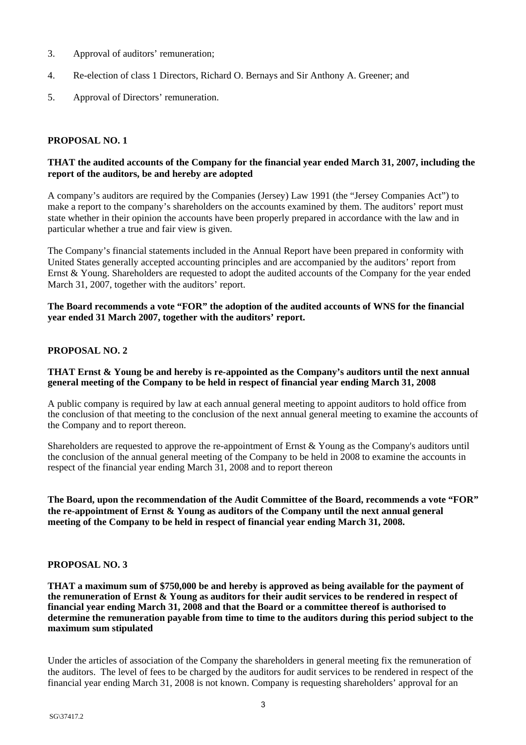- 3. Approval of auditors' remuneration;
- 4. Re-election of class 1 Directors, Richard O. Bernays and Sir Anthony A. Greener; and
- 5. Approval of Directors' remuneration.

## **PROPOSAL NO. 1**

## **THAT the audited accounts of the Company for the financial year ended March 31, 2007, including the report of the auditors, be and hereby are adopted**

A company's auditors are required by the Companies (Jersey) Law 1991 (the "Jersey Companies Act") to make a report to the company's shareholders on the accounts examined by them. The auditors' report must state whether in their opinion the accounts have been properly prepared in accordance with the law and in particular whether a true and fair view is given.

The Company's financial statements included in the Annual Report have been prepared in conformity with United States generally accepted accounting principles and are accompanied by the auditors' report from Ernst & Young. Shareholders are requested to adopt the audited accounts of the Company for the year ended March 31, 2007, together with the auditors' report.

**The Board recommends a vote "FOR" the adoption of the audited accounts of WNS for the financial year ended 31 March 2007, together with the auditors' report.** 

## **PROPOSAL NO. 2**

#### **THAT Ernst & Young be and hereby is re-appointed as the Company's auditors until the next annual general meeting of the Company to be held in respect of financial year ending March 31, 2008**

A public company is required by law at each annual general meeting to appoint auditors to hold office from the conclusion of that meeting to the conclusion of the next annual general meeting to examine the accounts of the Company and to report thereon.

Shareholders are requested to approve the re-appointment of Ernst & Young as the Company's auditors until the conclusion of the annual general meeting of the Company to be held in 2008 to examine the accounts in respect of the financial year ending March 31, 2008 and to report thereon

**The Board, upon the recommendation of the Audit Committee of the Board, recommends a vote "FOR" the re-appointment of Ernst & Young as auditors of the Company until the next annual general meeting of the Company to be held in respect of financial year ending March 31, 2008.** 

#### **PROPOSAL NO. 3**

**THAT a maximum sum of \$750,000 be and hereby is approved as being available for the payment of the remuneration of Ernst & Young as auditors for their audit services to be rendered in respect of financial year ending March 31, 2008 and that the Board or a committee thereof is authorised to determine the remuneration payable from time to time to the auditors during this period subject to the maximum sum stipulated**

Under the articles of association of the Company the shareholders in general meeting fix the remuneration of the auditors. The level of fees to be charged by the auditors for audit services to be rendered in respect of the financial year ending March 31, 2008 is not known. Company is requesting shareholders' approval for an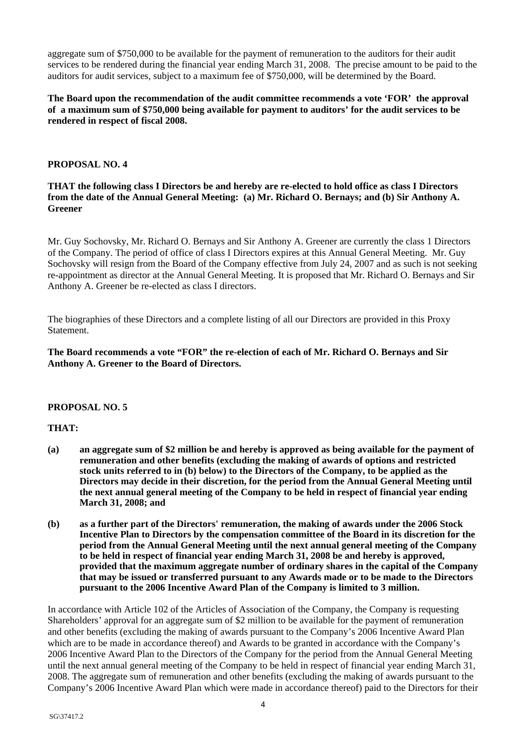aggregate sum of \$750,000 to be available for the payment of remuneration to the auditors for their audit services to be rendered during the financial year ending March 31, 2008. The precise amount to be paid to the auditors for audit services, subject to a maximum fee of \$750,000, will be determined by the Board.

**The Board upon the recommendation of the audit committee recommends a vote 'FOR' the approval of a maximum sum of \$750,000 being available for payment to auditors' for the audit services to be rendered in respect of fiscal 2008.** 

## **PROPOSAL NO. 4**

## **THAT the following class I Directors be and hereby are re-elected to hold office as class I Directors from the date of the Annual General Meeting: (a) Mr. Richard O. Bernays; and (b) Sir Anthony A. Greener**

Mr. Guy Sochovsky, Mr. Richard O. Bernays and Sir Anthony A. Greener are currently the class 1 Directors of the Company. The period of office of class I Directors expires at this Annual General Meeting. Mr. Guy Sochovsky will resign from the Board of the Company effective from July 24, 2007 and as such is not seeking re-appointment as director at the Annual General Meeting. It is proposed that Mr. Richard O. Bernays and Sir Anthony A. Greener be re-elected as class I directors.

The biographies of these Directors and a complete listing of all our Directors are provided in this Proxy Statement.

**The Board recommends a vote "FOR" the re-election of each of Mr. Richard O. Bernays and Sir Anthony A. Greener to the Board of Directors.** 

#### **PROPOSAL NO. 5**

# **THAT:**

- **(a) an aggregate sum of \$2 million be and hereby is approved as being available for the payment of remuneration and other benefits (excluding the making of awards of options and restricted stock units referred to in (b) below) to the Directors of the Company, to be applied as the Directors may decide in their discretion, for the period from the Annual General Meeting until the next annual general meeting of the Company to be held in respect of financial year ending March 31, 2008; and**
- **(b) as a further part of the Directors' remuneration, the making of awards under the 2006 Stock Incentive Plan to Directors by the compensation committee of the Board in its discretion for the period from the Annual General Meeting until the next annual general meeting of the Company to be held in respect of financial year ending March 31, 2008 be and hereby is approved, provided that the maximum aggregate number of ordinary shares in the capital of the Company that may be issued or transferred pursuant to any Awards made or to be made to the Directors pursuant to the 2006 Incentive Award Plan of the Company is limited to 3 million.**

In accordance with Article 102 of the Articles of Association of the Company, the Company is requesting Shareholders' approval for an aggregate sum of \$2 million to be available for the payment of remuneration and other benefits (excluding the making of awards pursuant to the Company's 2006 Incentive Award Plan which are to be made in accordance thereof) and Awards to be granted in accordance with the Company's 2006 Incentive Award Plan to the Directors of the Company for the period from the Annual General Meeting until the next annual general meeting of the Company to be held in respect of financial year ending March 31, 2008. The aggregate sum of remuneration and other benefits (excluding the making of awards pursuant to the Company's 2006 Incentive Award Plan which were made in accordance thereof) paid to the Directors for their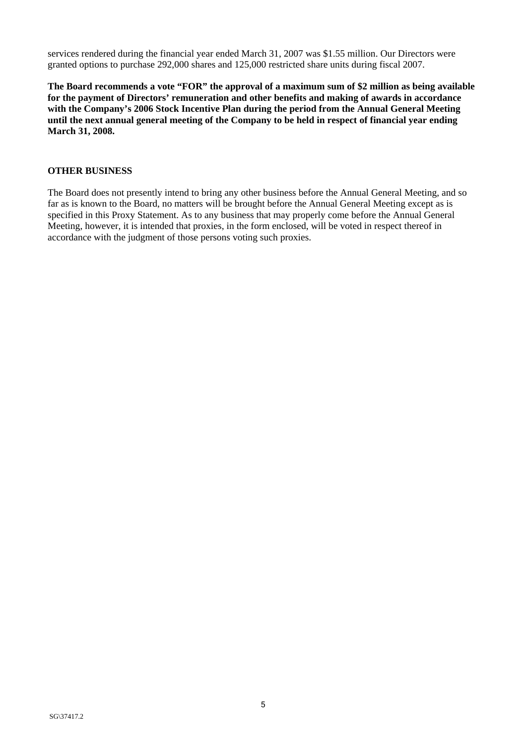services rendered during the financial year ended March 31, 2007 was \$1.55 million. Our Directors were granted options to purchase 292,000 shares and 125,000 restricted share units during fiscal 2007.

**The Board recommends a vote "FOR" the approval of a maximum sum of \$2 million as being available for the payment of Directors' remuneration and other benefits and making of awards in accordance with the Company's 2006 Stock Incentive Plan during the period from the Annual General Meeting until the next annual general meeting of the Company to be held in respect of financial year ending March 31, 2008.** 

## **OTHER BUSINESS**

The Board does not presently intend to bring any other business before the Annual General Meeting, and so far as is known to the Board, no matters will be brought before the Annual General Meeting except as is specified in this Proxy Statement. As to any business that may properly come before the Annual General Meeting, however, it is intended that proxies, in the form enclosed, will be voted in respect thereof in accordance with the judgment of those persons voting such proxies.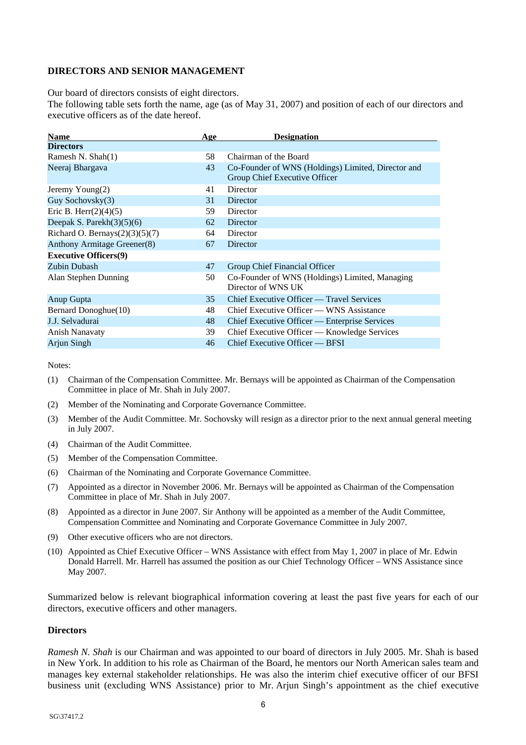## **DIRECTORS AND SENIOR MANAGEMENT**

Our board of directors consists of eight directors.

The following table sets forth the name, age (as of May 31, 2007) and position of each of our directors and executive officers as of the date hereof.

| <b>Name</b>                       | Age | <b>Designation</b>                                                                  |
|-----------------------------------|-----|-------------------------------------------------------------------------------------|
| <b>Directors</b>                  |     |                                                                                     |
| Ramesh N. Shah(1)                 | 58  | Chairman of the Board                                                               |
| Neeraj Bhargava                   | 43  | Co-Founder of WNS (Holdings) Limited, Director and<br>Group Chief Executive Officer |
| Jeremy $Young(2)$                 | 41  | <b>Director</b>                                                                     |
| Guy Sochovsky(3)                  | 31  | Director                                                                            |
| Eric B. Herr $(2)(4)(5)$          | 59  | Director                                                                            |
| Deepak S. Parekh $(3)(5)(6)$      | 62  | Director                                                                            |
| Richard O. Bernays $(2)(3)(5)(7)$ | 64  | Director                                                                            |
| Anthony Armitage Greener(8)       | 67  | Director                                                                            |
| <b>Executive Officers(9)</b>      |     |                                                                                     |
| Zubin Dubash                      | 47  | Group Chief Financial Officer                                                       |
| Alan Stephen Dunning              | 50  | Co-Founder of WNS (Holdings) Limited, Managing<br>Director of WNS UK                |
| <b>Anup Gupta</b>                 | 35  | Chief Executive Officer — Travel Services                                           |
| Bernard Donoghue(10)              | 48  | Chief Executive Officer — WNS Assistance                                            |
| J.J. Selvadurai                   | 48  | Chief Executive Officer — Enterprise Services                                       |
| <b>Anish Nanavaty</b>             | 39  | Chief Executive Officer — Knowledge Services                                        |
| Arjun Singh                       | 46  | Chief Executive Officer — BFSI                                                      |

Notes:

- (1) Chairman of the Compensation Committee. Mr. Bernays will be appointed as Chairman of the Compensation Committee in place of Mr. Shah in July 2007.
- (2) Member of the Nominating and Corporate Governance Committee.
- (3) Member of the Audit Committee. Mr. Sochovsky will resign as a director prior to the next annual general meeting in July 2007.
- (4) Chairman of the Audit Committee.
- (5) Member of the Compensation Committee.
- (6) Chairman of the Nominating and Corporate Governance Committee.
- (7) Appointed as a director in November 2006. Mr. Bernays will be appointed as Chairman of the Compensation Committee in place of Mr. Shah in July 2007.
- (8) Appointed as a director in June 2007. Sir Anthony will be appointed as a member of the Audit Committee, Compensation Committee and Nominating and Corporate Governance Committee in July 2007.
- (9) Other executive officers who are not directors.
- (10) Appointed as Chief Executive Officer WNS Assistance with effect from May 1, 2007 in place of Mr. Edwin Donald Harrell. Mr. Harrell has assumed the position as our Chief Technology Officer – WNS Assistance since May 2007.

Summarized below is relevant biographical information covering at least the past five years for each of our directors, executive officers and other managers.

#### **Directors**

*Ramesh N. Shah* is our Chairman and was appointed to our board of directors in July 2005. Mr. Shah is based in New York. In addition to his role as Chairman of the Board, he mentors our North American sales team and manages key external stakeholder relationships. He was also the interim chief executive officer of our BFSI business unit (excluding WNS Assistance) prior to Mr. Arjun Singh's appointment as the chief executive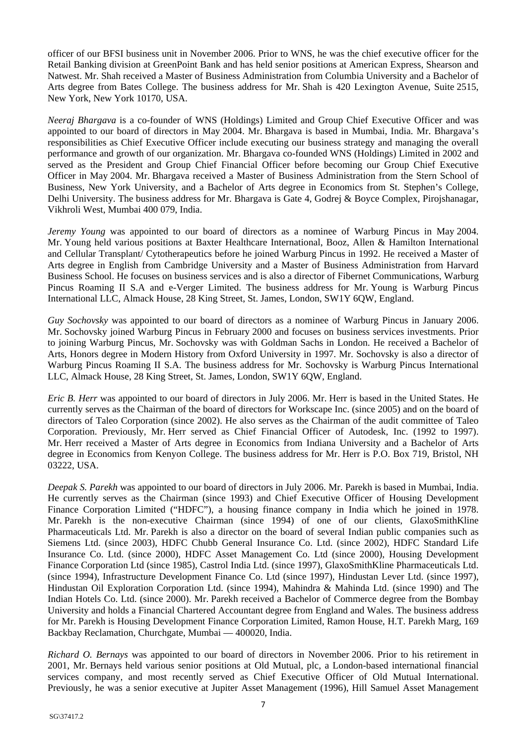officer of our BFSI business unit in November 2006. Prior to WNS, he was the chief executive officer for the Retail Banking division at GreenPoint Bank and has held senior positions at American Express, Shearson and Natwest. Mr. Shah received a Master of Business Administration from Columbia University and a Bachelor of Arts degree from Bates College. The business address for Mr. Shah is 420 Lexington Avenue, Suite 2515, New York, New York 10170, USA.

*Neeraj Bhargava* is a co-founder of WNS (Holdings) Limited and Group Chief Executive Officer and was appointed to our board of directors in May 2004. Mr. Bhargava is based in Mumbai, India. Mr. Bhargava's responsibilities as Chief Executive Officer include executing our business strategy and managing the overall performance and growth of our organization. Mr. Bhargava co-founded WNS (Holdings) Limited in 2002 and served as the President and Group Chief Financial Officer before becoming our Group Chief Executive Officer in May 2004. Mr. Bhargava received a Master of Business Administration from the Stern School of Business, New York University, and a Bachelor of Arts degree in Economics from St. Stephen's College, Delhi University. The business address for Mr. Bhargava is Gate 4, Godrej & Boyce Complex, Pirojshanagar, Vikhroli West, Mumbai 400 079, India.

*Jeremy Young* was appointed to our board of directors as a nominee of Warburg Pincus in May 2004. Mr. Young held various positions at Baxter Healthcare International, Booz, Allen & Hamilton International and Cellular Transplant/ Cytotherapeutics before he joined Warburg Pincus in 1992. He received a Master of Arts degree in English from Cambridge University and a Master of Business Administration from Harvard Business School. He focuses on business services and is also a director of Fibernet Communications, Warburg Pincus Roaming II S.A and e-Verger Limited. The business address for Mr. Young is Warburg Pincus International LLC, Almack House, 28 King Street, St. James, London, SW1Y 6QW, England.

*Guy Sochovsky* was appointed to our board of directors as a nominee of Warburg Pincus in January 2006. Mr. Sochovsky joined Warburg Pincus in February 2000 and focuses on business services investments. Prior to joining Warburg Pincus, Mr. Sochovsky was with Goldman Sachs in London. He received a Bachelor of Arts, Honors degree in Modern History from Oxford University in 1997. Mr. Sochovsky is also a director of Warburg Pincus Roaming II S.A. The business address for Mr. Sochovsky is Warburg Pincus International LLC, Almack House, 28 King Street, St. James, London, SW1Y 6QW, England.

*Eric B. Herr* was appointed to our board of directors in July 2006. Mr. Herr is based in the United States. He currently serves as the Chairman of the board of directors for Workscape Inc. (since 2005) and on the board of directors of Taleo Corporation (since 2002). He also serves as the Chairman of the audit committee of Taleo Corporation. Previously, Mr. Herr served as Chief Financial Officer of Autodesk, Inc. (1992 to 1997). Mr. Herr received a Master of Arts degree in Economics from Indiana University and a Bachelor of Arts degree in Economics from Kenyon College. The business address for Mr. Herr is P.O. Box 719, Bristol, NH 03222, USA.

*Deepak S. Parekh* was appointed to our board of directors in July 2006. Mr. Parekh is based in Mumbai, India. He currently serves as the Chairman (since 1993) and Chief Executive Officer of Housing Development Finance Corporation Limited ("HDFC"), a housing finance company in India which he joined in 1978. Mr. Parekh is the non-executive Chairman (since 1994) of one of our clients, GlaxoSmithKline Pharmaceuticals Ltd. Mr. Parekh is also a director on the board of several Indian public companies such as Siemens Ltd. (since 2003), HDFC Chubb General Insurance Co. Ltd. (since 2002), HDFC Standard Life Insurance Co. Ltd. (since 2000), HDFC Asset Management Co. Ltd (since 2000), Housing Development Finance Corporation Ltd (since 1985), Castrol India Ltd. (since 1997), GlaxoSmithKline Pharmaceuticals Ltd. (since 1994), Infrastructure Development Finance Co. Ltd (since 1997), Hindustan Lever Ltd. (since 1997), Hindustan Oil Exploration Corporation Ltd. (since 1994), Mahindra & Mahinda Ltd. (since 1990) and The Indian Hotels Co. Ltd. (since 2000). Mr. Parekh received a Bachelor of Commerce degree from the Bombay University and holds a Financial Chartered Accountant degree from England and Wales. The business address for Mr. Parekh is Housing Development Finance Corporation Limited, Ramon House, H.T. Parekh Marg, 169 Backbay Reclamation, Churchgate, Mumbai — 400020, India.

*Richard O. Bernays* was appointed to our board of directors in November 2006. Prior to his retirement in 2001, Mr. Bernays held various senior positions at Old Mutual, plc, a London-based international financial services company, and most recently served as Chief Executive Officer of Old Mutual International. Previously, he was a senior executive at Jupiter Asset Management (1996), Hill Samuel Asset Management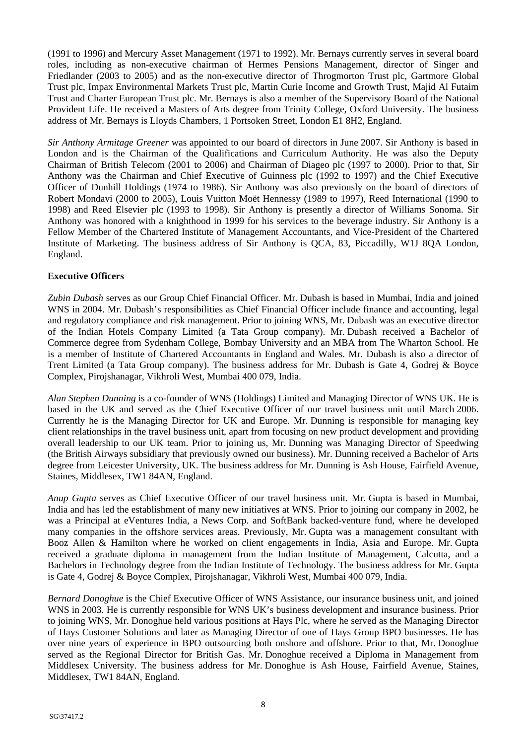(1991 to 1996) and Mercury Asset Management (1971 to 1992). Mr. Bernays currently serves in several board roles, including as non-executive chairman of Hermes Pensions Management, director of Singer and Friedlander (2003 to 2005) and as the non-executive director of Throgmorton Trust plc, Gartmore Global Trust plc, Impax Environmental Markets Trust plc, Martin Curie Income and Growth Trust, Majid Al Futaim Trust and Charter European Trust plc. Mr. Bernays is also a member of the Supervisory Board of the National Provident Life. He received a Masters of Arts degree from Trinity College, Oxford University. The business address of Mr. Bernays is Lloyds Chambers, 1 Portsoken Street, London E1 8H2, England.

*Sir Anthony Armitage Greener* was appointed to our board of directors in June 2007. Sir Anthony is based in London and is the Chairman of the Qualifications and Curriculum Authority. He was also the Deputy Chairman of British Telecom (2001 to 2006) and Chairman of Diageo plc (1997 to 2000). Prior to that, Sir Anthony was the Chairman and Chief Executive of Guinness plc (1992 to 1997) and the Chief Executive Officer of Dunhill Holdings (1974 to 1986). Sir Anthony was also previously on the board of directors of Robert Mondavi (2000 to 2005), Louis Vuitton Moët Hennessy (1989 to 1997), Reed International (1990 to 1998) and Reed Elsevier plc (1993 to 1998). Sir Anthony is presently a director of Williams Sonoma. Sir Anthony was honored with a knighthood in 1999 for his services to the beverage industry. Sir Anthony is a Fellow Member of the Chartered Institute of Management Accountants, and Vice-President of the Chartered Institute of Marketing. The business address of Sir Anthony is QCA, 83, Piccadilly, W1J 8QA London, England.

## **Executive Officers**

*Zubin Dubash* serves as our Group Chief Financial Officer. Mr. Dubash is based in Mumbai, India and joined WNS in 2004. Mr. Dubash's responsibilities as Chief Financial Officer include finance and accounting, legal and regulatory compliance and risk management. Prior to joining WNS, Mr. Dubash was an executive director of the Indian Hotels Company Limited (a Tata Group company). Mr. Dubash received a Bachelor of Commerce degree from Sydenham College, Bombay University and an MBA from The Wharton School. He is a member of Institute of Chartered Accountants in England and Wales. Mr. Dubash is also a director of Trent Limited (a Tata Group company). The business address for Mr. Dubash is Gate 4, Godrej & Boyce Complex, Pirojshanagar, Vikhroli West, Mumbai 400 079, India.

*Alan Stephen Dunning* is a co-founder of WNS (Holdings) Limited and Managing Director of WNS UK. He is based in the UK and served as the Chief Executive Officer of our travel business unit until March 2006. Currently he is the Managing Director for UK and Europe. Mr. Dunning is responsible for managing key client relationships in the travel business unit, apart from focusing on new product development and providing overall leadership to our UK team. Prior to joining us, Mr. Dunning was Managing Director of Speedwing (the British Airways subsidiary that previously owned our business). Mr. Dunning received a Bachelor of Arts degree from Leicester University, UK. The business address for Mr. Dunning is Ash House, Fairfield Avenue, Staines, Middlesex, TW1 84AN, England.

*Anup Gupta* serves as Chief Executive Officer of our travel business unit. Mr. Gupta is based in Mumbai, India and has led the establishment of many new initiatives at WNS. Prior to joining our company in 2002, he was a Principal at eVentures India, a News Corp. and SoftBank backed-venture fund, where he developed many companies in the offshore services areas. Previously, Mr. Gupta was a management consultant with Booz Allen & Hamilton where he worked on client engagements in India, Asia and Europe. Mr. Gupta received a graduate diploma in management from the Indian Institute of Management, Calcutta, and a Bachelors in Technology degree from the Indian Institute of Technology. The business address for Mr. Gupta is Gate 4, Godrej & Boyce Complex, Pirojshanagar, Vikhroli West, Mumbai 400 079, India.

*Bernard Donoghue* is the Chief Executive Officer of WNS Assistance, our insurance business unit, and joined WNS in 2003. He is currently responsible for WNS UK's business development and insurance business. Prior to joining WNS, Mr. Donoghue held various positions at Hays Plc, where he served as the Managing Director of Hays Customer Solutions and later as Managing Director of one of Hays Group BPO businesses. He has over nine years of experience in BPO outsourcing both onshore and offshore. Prior to that, Mr. Donoghue served as the Regional Director for British Gas. Mr. Donoghue received a Diploma in Management from Middlesex University. The business address for Mr. Donoghue is Ash House, Fairfield Avenue, Staines, Middlesex, TW1 84AN, England.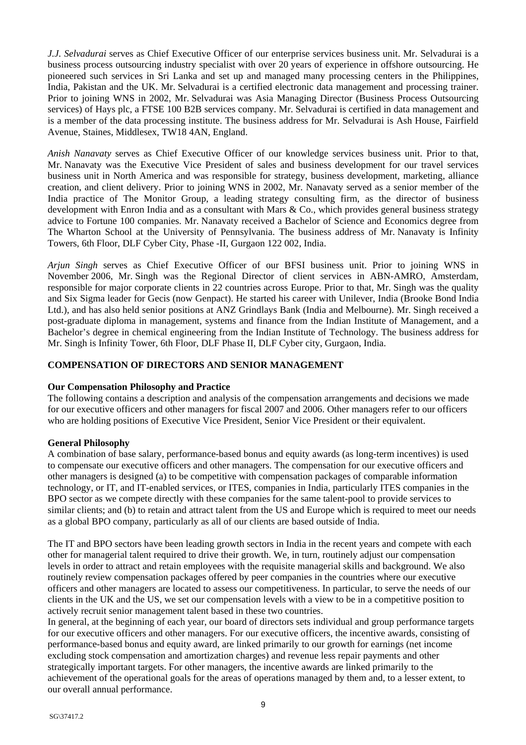*J.J. Selvadurai* serves as Chief Executive Officer of our enterprise services business unit. Mr. Selvadurai is a business process outsourcing industry specialist with over 20 years of experience in offshore outsourcing. He pioneered such services in Sri Lanka and set up and managed many processing centers in the Philippines, India, Pakistan and the UK. Mr. Selvadurai is a certified electronic data management and processing trainer. Prior to joining WNS in 2002, Mr. Selvadurai was Asia Managing Director (Business Process Outsourcing services) of Hays plc, a FTSE 100 B2B services company. Mr. Selvadurai is certified in data management and is a member of the data processing institute. The business address for Mr. Selvadurai is Ash House, Fairfield Avenue, Staines, Middlesex, TW18 4AN, England.

*Anish Nanavaty* serves as Chief Executive Officer of our knowledge services business unit. Prior to that, Mr. Nanavaty was the Executive Vice President of sales and business development for our travel services business unit in North America and was responsible for strategy, business development, marketing, alliance creation, and client delivery. Prior to joining WNS in 2002, Mr. Nanavaty served as a senior member of the India practice of The Monitor Group, a leading strategy consulting firm, as the director of business development with Enron India and as a consultant with Mars & Co., which provides general business strategy advice to Fortune 100 companies. Mr. Nanavaty received a Bachelor of Science and Economics degree from The Wharton School at the University of Pennsylvania. The business address of Mr. Nanavaty is Infinity Towers, 6th Floor, DLF Cyber City, Phase -II, Gurgaon 122 002, India.

*Arjun Singh* serves as Chief Executive Officer of our BFSI business unit. Prior to joining WNS in November 2006, Mr. Singh was the Regional Director of client services in ABN-AMRO, Amsterdam, responsible for major corporate clients in 22 countries across Europe. Prior to that, Mr. Singh was the quality and Six Sigma leader for Gecis (now Genpact). He started his career with Unilever, India (Brooke Bond India Ltd.), and has also held senior positions at ANZ Grindlays Bank (India and Melbourne). Mr. Singh received a post-graduate diploma in management, systems and finance from the Indian Institute of Management, and a Bachelor's degree in chemical engineering from the Indian Institute of Technology. The business address for Mr. Singh is Infinity Tower, 6th Floor, DLF Phase II, DLF Cyber city, Gurgaon, India.

# **COMPENSATION OF DIRECTORS AND SENIOR MANAGEMENT**

#### **Our Compensation Philosophy and Practice**

The following contains a description and analysis of the compensation arrangements and decisions we made for our executive officers and other managers for fiscal 2007 and 2006. Other managers refer to our officers who are holding positions of Executive Vice President, Senior Vice President or their equivalent.

#### **General Philosophy**

A combination of base salary, performance-based bonus and equity awards (as long-term incentives) is used to compensate our executive officers and other managers. The compensation for our executive officers and other managers is designed (a) to be competitive with compensation packages of comparable information technology, or IT, and IT-enabled services, or ITES, companies in India, particularly ITES companies in the BPO sector as we compete directly with these companies for the same talent-pool to provide services to similar clients; and (b) to retain and attract talent from the US and Europe which is required to meet our needs as a global BPO company, particularly as all of our clients are based outside of India.

The IT and BPO sectors have been leading growth sectors in India in the recent years and compete with each other for managerial talent required to drive their growth. We, in turn, routinely adjust our compensation levels in order to attract and retain employees with the requisite managerial skills and background. We also routinely review compensation packages offered by peer companies in the countries where our executive officers and other managers are located to assess our competitiveness. In particular, to serve the needs of our clients in the UK and the US, we set our compensation levels with a view to be in a competitive position to actively recruit senior management talent based in these two countries.

In general, at the beginning of each year, our board of directors sets individual and group performance targets for our executive officers and other managers. For our executive officers, the incentive awards, consisting of performance-based bonus and equity award, are linked primarily to our growth for earnings (net income excluding stock compensation and amortization charges) and revenue less repair payments and other strategically important targets. For other managers, the incentive awards are linked primarily to the achievement of the operational goals for the areas of operations managed by them and, to a lesser extent, to our overall annual performance.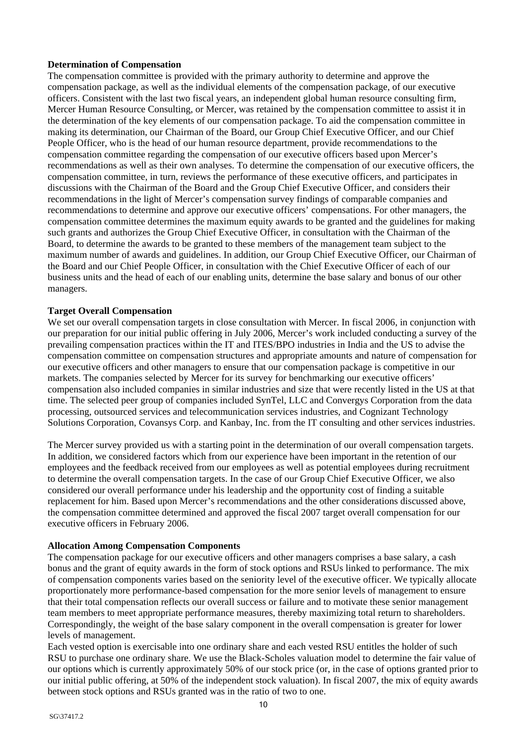## **Determination of Compensation**

The compensation committee is provided with the primary authority to determine and approve the compensation package, as well as the individual elements of the compensation package, of our executive officers. Consistent with the last two fiscal years, an independent global human resource consulting firm, Mercer Human Resource Consulting, or Mercer, was retained by the compensation committee to assist it in the determination of the key elements of our compensation package. To aid the compensation committee in making its determination, our Chairman of the Board, our Group Chief Executive Officer, and our Chief People Officer, who is the head of our human resource department, provide recommendations to the compensation committee regarding the compensation of our executive officers based upon Mercer's recommendations as well as their own analyses. To determine the compensation of our executive officers, the compensation committee, in turn, reviews the performance of these executive officers, and participates in discussions with the Chairman of the Board and the Group Chief Executive Officer, and considers their recommendations in the light of Mercer's compensation survey findings of comparable companies and recommendations to determine and approve our executive officers' compensations. For other managers, the compensation committee determines the maximum equity awards to be granted and the guidelines for making such grants and authorizes the Group Chief Executive Officer, in consultation with the Chairman of the Board, to determine the awards to be granted to these members of the management team subject to the maximum number of awards and guidelines. In addition, our Group Chief Executive Officer, our Chairman of the Board and our Chief People Officer, in consultation with the Chief Executive Officer of each of our business units and the head of each of our enabling units, determine the base salary and bonus of our other managers.

## **Target Overall Compensation**

We set our overall compensation targets in close consultation with Mercer. In fiscal 2006, in conjunction with our preparation for our initial public offering in July 2006, Mercer's work included conducting a survey of the prevailing compensation practices within the IT and ITES/BPO industries in India and the US to advise the compensation committee on compensation structures and appropriate amounts and nature of compensation for our executive officers and other managers to ensure that our compensation package is competitive in our markets. The companies selected by Mercer for its survey for benchmarking our executive officers' compensation also included companies in similar industries and size that were recently listed in the US at that time. The selected peer group of companies included SynTel, LLC and Convergys Corporation from the data processing, outsourced services and telecommunication services industries, and Cognizant Technology Solutions Corporation, Covansys Corp. and Kanbay, Inc. from the IT consulting and other services industries.

The Mercer survey provided us with a starting point in the determination of our overall compensation targets. In addition, we considered factors which from our experience have been important in the retention of our employees and the feedback received from our employees as well as potential employees during recruitment to determine the overall compensation targets. In the case of our Group Chief Executive Officer, we also considered our overall performance under his leadership and the opportunity cost of finding a suitable replacement for him. Based upon Mercer's recommendations and the other considerations discussed above, the compensation committee determined and approved the fiscal 2007 target overall compensation for our executive officers in February 2006.

#### **Allocation Among Compensation Components**

The compensation package for our executive officers and other managers comprises a base salary, a cash bonus and the grant of equity awards in the form of stock options and RSUs linked to performance. The mix of compensation components varies based on the seniority level of the executive officer. We typically allocate proportionately more performance-based compensation for the more senior levels of management to ensure that their total compensation reflects our overall success or failure and to motivate these senior management team members to meet appropriate performance measures, thereby maximizing total return to shareholders. Correspondingly, the weight of the base salary component in the overall compensation is greater for lower levels of management.

Each vested option is exercisable into one ordinary share and each vested RSU entitles the holder of such RSU to purchase one ordinary share. We use the Black-Scholes valuation model to determine the fair value of our options which is currently approximately 50% of our stock price (or, in the case of options granted prior to our initial public offering, at 50% of the independent stock valuation). In fiscal 2007, the mix of equity awards between stock options and RSUs granted was in the ratio of two to one.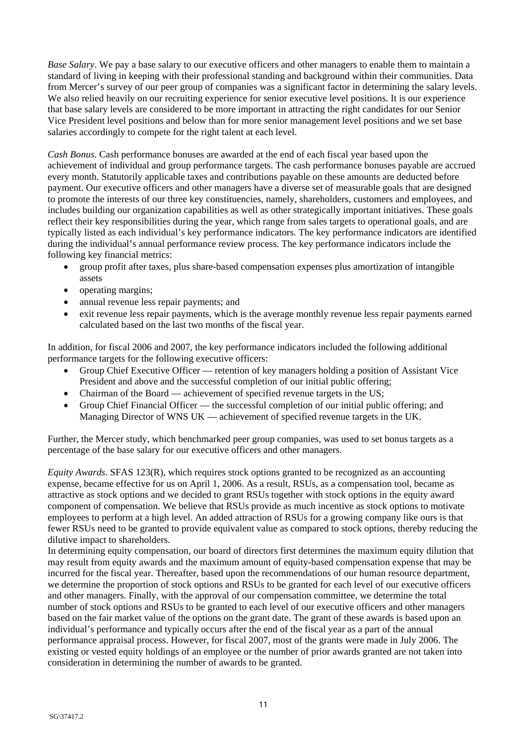*Base Salary*. We pay a base salary to our executive officers and other managers to enable them to maintain a standard of living in keeping with their professional standing and background within their communities. Data from Mercer's survey of our peer group of companies was a significant factor in determining the salary levels. We also relied heavily on our recruiting experience for senior executive level positions. It is our experience that base salary levels are considered to be more important in attracting the right candidates for our Senior Vice President level positions and below than for more senior management level positions and we set base salaries accordingly to compete for the right talent at each level.

*Cash Bonus*. Cash performance bonuses are awarded at the end of each fiscal year based upon the achievement of individual and group performance targets. The cash performance bonuses payable are accrued every month. Statutorily applicable taxes and contributions payable on these amounts are deducted before payment. Our executive officers and other managers have a diverse set of measurable goals that are designed to promote the interests of our three key constituencies, namely, shareholders, customers and employees, and includes building our organization capabilities as well as other strategically important initiatives. These goals reflect their key responsibilities during the year, which range from sales targets to operational goals, and are typically listed as each individual's key performance indicators. The key performance indicators are identified during the individual's annual performance review process. The key performance indicators include the following key financial metrics:

- group profit after taxes, plus share-based compensation expenses plus amortization of intangible assets
- operating margins;
- annual revenue less repair payments; and
- exit revenue less repair payments, which is the average monthly revenue less repair payments earned calculated based on the last two months of the fiscal year.

In addition, for fiscal 2006 and 2007, the key performance indicators included the following additional performance targets for the following executive officers:

- Group Chief Executive Officer retention of key managers holding a position of Assistant Vice President and above and the successful completion of our initial public offering;
- Chairman of the Board achievement of specified revenue targets in the US;
- Group Chief Financial Officer the successful completion of our initial public offering; and Managing Director of WNS UK — achievement of specified revenue targets in the UK.

Further, the Mercer study, which benchmarked peer group companies, was used to set bonus targets as a percentage of the base salary for our executive officers and other managers.

*Equity Awards*. SFAS 123(R), which requires stock options granted to be recognized as an accounting expense, became effective for us on April 1, 2006. As a result, RSUs, as a compensation tool, became as attractive as stock options and we decided to grant RSUs together with stock options in the equity award component of compensation. We believe that RSUs provide as much incentive as stock options to motivate employees to perform at a high level. An added attraction of RSUs for a growing company like ours is that fewer RSUs need to be granted to provide equivalent value as compared to stock options, thereby reducing the dilutive impact to shareholders.

In determining equity compensation, our board of directors first determines the maximum equity dilution that may result from equity awards and the maximum amount of equity-based compensation expense that may be incurred for the fiscal year. Thereafter, based upon the recommendations of our human resource department, we determine the proportion of stock options and RSUs to be granted for each level of our executive officers and other managers. Finally, with the approval of our compensation committee, we determine the total number of stock options and RSUs to be granted to each level of our executive officers and other managers based on the fair market value of the options on the grant date. The grant of these awards is based upon an individual's performance and typically occurs after the end of the fiscal year as a part of the annual performance appraisal process. However, for fiscal 2007, most of the grants were made in July 2006. The existing or vested equity holdings of an employee or the number of prior awards granted are not taken into consideration in determining the number of awards to be granted.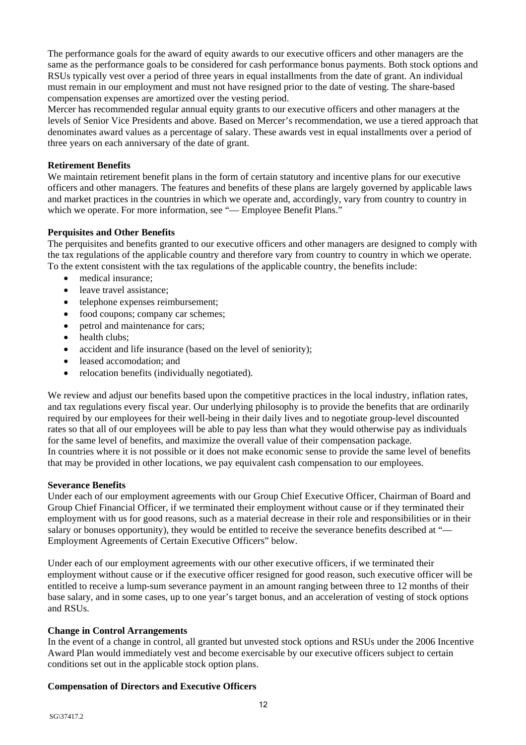The performance goals for the award of equity awards to our executive officers and other managers are the same as the performance goals to be considered for cash performance bonus payments. Both stock options and RSUs typically vest over a period of three years in equal installments from the date of grant. An individual must remain in our employment and must not have resigned prior to the date of vesting. The share-based compensation expenses are amortized over the vesting period.

Mercer has recommended regular annual equity grants to our executive officers and other managers at the levels of Senior Vice Presidents and above. Based on Mercer's recommendation, we use a tiered approach that denominates award values as a percentage of salary. These awards vest in equal installments over a period of three years on each anniversary of the date of grant.

## **Retirement Benefits**

We maintain retirement benefit plans in the form of certain statutory and incentive plans for our executive officers and other managers. The features and benefits of these plans are largely governed by applicable laws and market practices in the countries in which we operate and, accordingly, vary from country to country in which we operate. For more information, see "— Employee Benefit Plans."

## **Perquisites and Other Benefits**

The perquisites and benefits granted to our executive officers and other managers are designed to comply with the tax regulations of the applicable country and therefore vary from country to country in which we operate. To the extent consistent with the tax regulations of the applicable country, the benefits include:

- medical insurance:
- leave travel assistance:
- telephone expenses reimbursement;
- food coupons; company car schemes;
- petrol and maintenance for cars:
- health clubs:
- accident and life insurance (based on the level of seniority);
- leased accomodation: and
- relocation benefits (individually negotiated).

We review and adjust our benefits based upon the competitive practices in the local industry, inflation rates, and tax regulations every fiscal year. Our underlying philosophy is to provide the benefits that are ordinarily required by our employees for their well-being in their daily lives and to negotiate group-level discounted rates so that all of our employees will be able to pay less than what they would otherwise pay as individuals for the same level of benefits, and maximize the overall value of their compensation package. In countries where it is not possible or it does not make economic sense to provide the same level of benefits that may be provided in other locations, we pay equivalent cash compensation to our employees.

## **Severance Benefits**

Under each of our employment agreements with our Group Chief Executive Officer, Chairman of Board and Group Chief Financial Officer, if we terminated their employment without cause or if they terminated their employment with us for good reasons, such as a material decrease in their role and responsibilities or in their salary or bonuses opportunity), they would be entitled to receive the severance benefits described at "— Employment Agreements of Certain Executive Officers" below.

Under each of our employment agreements with our other executive officers, if we terminated their employment without cause or if the executive officer resigned for good reason, such executive officer will be entitled to receive a lump-sum severance payment in an amount ranging between three to 12 months of their base salary, and in some cases, up to one year's target bonus, and an acceleration of vesting of stock options and RSUs.

#### **Change in Control Arrangements**

In the event of a change in control, all granted but unvested stock options and RSUs under the 2006 Incentive Award Plan would immediately vest and become exercisable by our executive officers subject to certain conditions set out in the applicable stock option plans.

#### **Compensation of Directors and Executive Officers**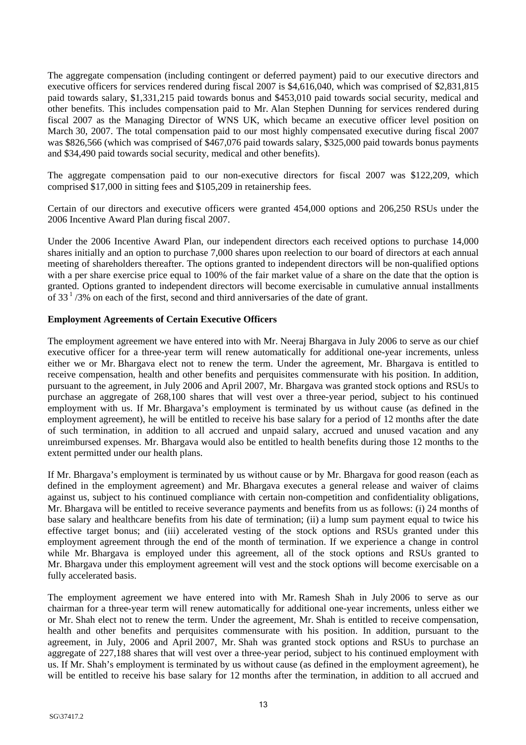The aggregate compensation (including contingent or deferred payment) paid to our executive directors and executive officers for services rendered during fiscal 2007 is \$4,616,040, which was comprised of \$2,831,815 paid towards salary, \$1,331,215 paid towards bonus and \$453,010 paid towards social security, medical and other benefits. This includes compensation paid to Mr. Alan Stephen Dunning for services rendered during fiscal 2007 as the Managing Director of WNS UK, which became an executive officer level position on March 30, 2007. The total compensation paid to our most highly compensated executive during fiscal 2007 was \$826,566 (which was comprised of \$467,076 paid towards salary, \$325,000 paid towards bonus payments and \$34,490 paid towards social security, medical and other benefits).

The aggregate compensation paid to our non-executive directors for fiscal 2007 was \$122,209, which comprised \$17,000 in sitting fees and \$105,209 in retainership fees.

Certain of our directors and executive officers were granted 454,000 options and 206,250 RSUs under the 2006 Incentive Award Plan during fiscal 2007.

Under the 2006 Incentive Award Plan, our independent directors each received options to purchase 14,000 shares initially and an option to purchase 7,000 shares upon reelection to our board of directors at each annual meeting of shareholders thereafter. The options granted to independent directors will be non-qualified options with a per share exercise price equal to 100% of the fair market value of a share on the date that the option is granted. Options granted to independent directors will become exercisable in cumulative annual installments of  $33<sup>1</sup>/3\%$  on each of the first, second and third anniversaries of the date of grant.

## **Employment Agreements of Certain Executive Officers**

The employment agreement we have entered into with Mr. Neeraj Bhargava in July 2006 to serve as our chief executive officer for a three-year term will renew automatically for additional one-year increments, unless either we or Mr. Bhargava elect not to renew the term. Under the agreement, Mr. Bhargava is entitled to receive compensation, health and other benefits and perquisites commensurate with his position. In addition, pursuant to the agreement, in July 2006 and April 2007, Mr. Bhargava was granted stock options and RSUs to purchase an aggregate of 268,100 shares that will vest over a three-year period, subject to his continued employment with us. If Mr. Bhargava's employment is terminated by us without cause (as defined in the employment agreement), he will be entitled to receive his base salary for a period of 12 months after the date of such termination, in addition to all accrued and unpaid salary, accrued and unused vacation and any unreimbursed expenses. Mr. Bhargava would also be entitled to health benefits during those 12 months to the extent permitted under our health plans.

If Mr. Bhargava's employment is terminated by us without cause or by Mr. Bhargava for good reason (each as defined in the employment agreement) and Mr. Bhargava executes a general release and waiver of claims against us, subject to his continued compliance with certain non-competition and confidentiality obligations, Mr. Bhargava will be entitled to receive severance payments and benefits from us as follows: (i) 24 months of base salary and healthcare benefits from his date of termination; (ii) a lump sum payment equal to twice his effective target bonus; and (iii) accelerated vesting of the stock options and RSUs granted under this employment agreement through the end of the month of termination. If we experience a change in control while Mr. Bhargava is employed under this agreement, all of the stock options and RSUs granted to Mr. Bhargava under this employment agreement will vest and the stock options will become exercisable on a fully accelerated basis.

The employment agreement we have entered into with Mr. Ramesh Shah in July 2006 to serve as our chairman for a three-year term will renew automatically for additional one-year increments, unless either we or Mr. Shah elect not to renew the term. Under the agreement, Mr. Shah is entitled to receive compensation, health and other benefits and perquisites commensurate with his position. In addition, pursuant to the agreement, in July, 2006 and April 2007, Mr. Shah was granted stock options and RSUs to purchase an aggregate of 227,188 shares that will vest over a three-year period, subject to his continued employment with us. If Mr. Shah's employment is terminated by us without cause (as defined in the employment agreement), he will be entitled to receive his base salary for 12 months after the termination, in addition to all accrued and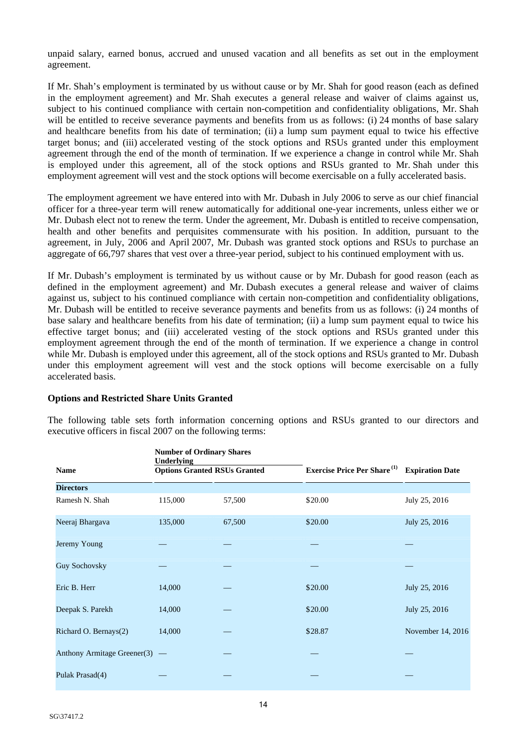unpaid salary, earned bonus, accrued and unused vacation and all benefits as set out in the employment agreement.

If Mr. Shah's employment is terminated by us without cause or by Mr. Shah for good reason (each as defined in the employment agreement) and Mr. Shah executes a general release and waiver of claims against us, subject to his continued compliance with certain non-competition and confidentiality obligations, Mr. Shah will be entitled to receive severance payments and benefits from us as follows: (i) 24 months of base salary and healthcare benefits from his date of termination; (ii) a lump sum payment equal to twice his effective target bonus; and (iii) accelerated vesting of the stock options and RSUs granted under this employment agreement through the end of the month of termination. If we experience a change in control while Mr. Shah is employed under this agreement, all of the stock options and RSUs granted to Mr. Shah under this employment agreement will vest and the stock options will become exercisable on a fully accelerated basis.

The employment agreement we have entered into with Mr. Dubash in July 2006 to serve as our chief financial officer for a three-year term will renew automatically for additional one-year increments, unless either we or Mr. Dubash elect not to renew the term. Under the agreement, Mr. Dubash is entitled to receive compensation, health and other benefits and perquisites commensurate with his position. In addition, pursuant to the agreement, in July, 2006 and April 2007, Mr. Dubash was granted stock options and RSUs to purchase an aggregate of 66,797 shares that vest over a three-year period, subject to his continued employment with us.

If Mr. Dubash's employment is terminated by us without cause or by Mr. Dubash for good reason (each as defined in the employment agreement) and Mr. Dubash executes a general release and waiver of claims against us, subject to his continued compliance with certain non-competition and confidentiality obligations, Mr. Dubash will be entitled to receive severance payments and benefits from us as follows: (i) 24 months of base salary and healthcare benefits from his date of termination; (ii) a lump sum payment equal to twice his effective target bonus; and (iii) accelerated vesting of the stock options and RSUs granted under this employment agreement through the end of the month of termination. If we experience a change in control while Mr. Dubash is employed under this agreement, all of the stock options and RSUs granted to Mr. Dubash under this employment agreement will vest and the stock options will become exercisable on a fully accelerated basis.

#### **Options and Restricted Share Units Granted**

|                             | <b>Number of Ordinary Shares</b><br><b>Underlying</b> |        |                                                |                        |
|-----------------------------|-------------------------------------------------------|--------|------------------------------------------------|------------------------|
| <b>Name</b>                 | <b>Options Granted RSUs Granted</b>                   |        | <b>Exercise Price Per Share</b> <sup>(1)</sup> | <b>Expiration Date</b> |
| <b>Directors</b>            |                                                       |        |                                                |                        |
| Ramesh N. Shah              | 115,000                                               | 57,500 | \$20.00                                        | July 25, 2016          |
| Neeraj Bhargava             | 135,000                                               | 67,500 | \$20.00                                        | July 25, 2016          |
| Jeremy Young                |                                                       |        |                                                |                        |
| Guy Sochovsky               |                                                       |        |                                                |                        |
| Eric B. Herr                | 14,000                                                |        | \$20.00                                        | July 25, 2016          |
| Deepak S. Parekh            | 14,000                                                |        | \$20.00                                        | July 25, 2016          |
| Richard O. Bernays(2)       | 14,000                                                |        | \$28.87                                        | November 14, 2016      |
| Anthony Armitage Greener(3) | $\hspace{0.1mm}-\hspace{0.1mm}$                       |        |                                                |                        |
| Pulak Prasad(4)             |                                                       |        |                                                |                        |

The following table sets forth information concerning options and RSUs granted to our directors and executive officers in fiscal 2007 on the following terms: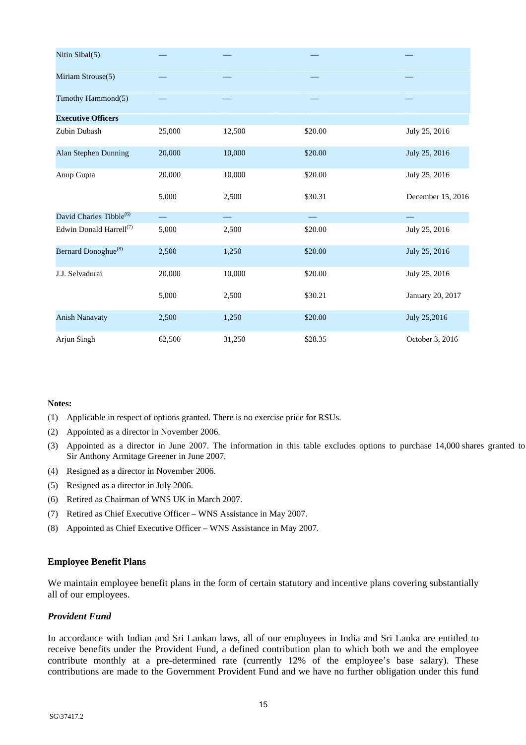| Nitin Sibal(5)                      |                          |        |                          |                   |
|-------------------------------------|--------------------------|--------|--------------------------|-------------------|
| Miriam Strouse(5)                   |                          |        |                          |                   |
| Timothy Hammond(5)                  |                          |        |                          |                   |
| <b>Executive Officers</b>           |                          |        |                          |                   |
| Zubin Dubash                        | 25,000                   | 12,500 | \$20.00                  | July 25, 2016     |
| Alan Stephen Dunning                | 20,000                   | 10,000 | \$20.00                  | July 25, 2016     |
| Anup Gupta                          | 20,000                   | 10,000 | \$20.00                  | July 25, 2016     |
|                                     | 5,000                    | 2,500  | \$30.31                  | December 15, 2016 |
| David Charles Tibble <sup>(6)</sup> | $\overline{\phantom{0}}$ |        | $\overline{\phantom{0}}$ |                   |
| Edwin Donald Harrell <sup>(7)</sup> | 5,000                    | 2,500  | \$20.00                  | July 25, 2016     |
| Bernard Donoghue <sup>(8)</sup>     | 2,500                    | 1,250  | \$20.00                  | July 25, 2016     |
| J.J. Selvadurai                     | 20,000                   | 10,000 | \$20.00                  | July 25, 2016     |
|                                     | 5,000                    | 2,500  | \$30.21                  | January 20, 2017  |
| <b>Anish Nanavaty</b>               | 2,500                    | 1,250  | \$20.00                  | July 25,2016      |
| Arjun Singh                         | 62,500                   | 31,250 | \$28.35                  | October 3, 2016   |

#### **Notes:**

- (1) Applicable in respect of options granted. There is no exercise price for RSUs.
- (2) Appointed as a director in November 2006.
- (3) Appointed as a director in June 2007. The information in this table excludes options to purchase 14,000 shares granted to Sir Anthony Armitage Greener in June 2007.
- (4) Resigned as a director in November 2006.
- (5) Resigned as a director in July 2006.
- (6) Retired as Chairman of WNS UK in March 2007.
- (7) Retired as Chief Executive Officer WNS Assistance in May 2007.
- (8) Appointed as Chief Executive Officer WNS Assistance in May 2007.

#### **Employee Benefit Plans**

We maintain employee benefit plans in the form of certain statutory and incentive plans covering substantially all of our employees.

#### *Provident Fund*

In accordance with Indian and Sri Lankan laws, all of our employees in India and Sri Lanka are entitled to receive benefits under the Provident Fund, a defined contribution plan to which both we and the employee contribute monthly at a pre-determined rate (currently 12% of the employee's base salary). These contributions are made to the Government Provident Fund and we have no further obligation under this fund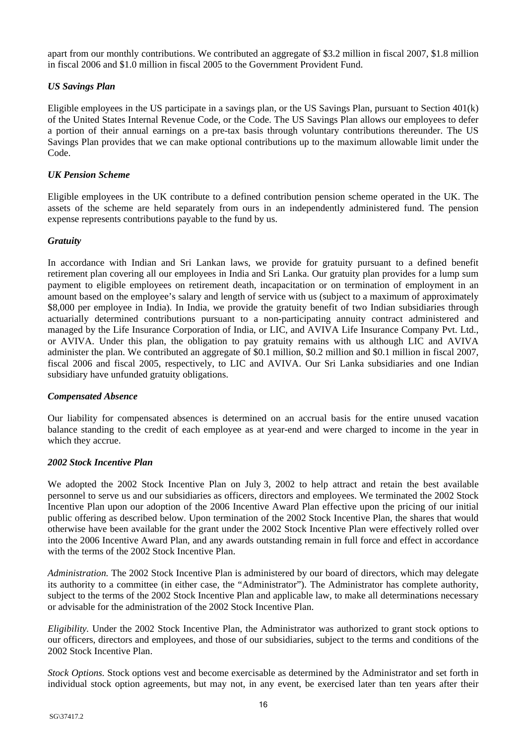apart from our monthly contributions. We contributed an aggregate of \$3.2 million in fiscal 2007, \$1.8 million in fiscal 2006 and \$1.0 million in fiscal 2005 to the Government Provident Fund.

# *US Savings Plan*

Eligible employees in the US participate in a savings plan, or the US Savings Plan, pursuant to Section 401(k) of the United States Internal Revenue Code, or the Code. The US Savings Plan allows our employees to defer a portion of their annual earnings on a pre-tax basis through voluntary contributions thereunder. The US Savings Plan provides that we can make optional contributions up to the maximum allowable limit under the Code.

## *UK Pension Scheme*

Eligible employees in the UK contribute to a defined contribution pension scheme operated in the UK. The assets of the scheme are held separately from ours in an independently administered fund. The pension expense represents contributions payable to the fund by us.

## *Gratuity*

In accordance with Indian and Sri Lankan laws, we provide for gratuity pursuant to a defined benefit retirement plan covering all our employees in India and Sri Lanka. Our gratuity plan provides for a lump sum payment to eligible employees on retirement death, incapacitation or on termination of employment in an amount based on the employee's salary and length of service with us (subject to a maximum of approximately \$8,000 per employee in India). In India, we provide the gratuity benefit of two Indian subsidiaries through actuarially determined contributions pursuant to a non-participating annuity contract administered and managed by the Life Insurance Corporation of India, or LIC, and AVIVA Life Insurance Company Pvt. Ltd., or AVIVA. Under this plan, the obligation to pay gratuity remains with us although LIC and AVIVA administer the plan. We contributed an aggregate of \$0.1 million, \$0.2 million and \$0.1 million in fiscal 2007, fiscal 2006 and fiscal 2005, respectively, to LIC and AVIVA. Our Sri Lanka subsidiaries and one Indian subsidiary have unfunded gratuity obligations.

#### *Compensated Absence*

Our liability for compensated absences is determined on an accrual basis for the entire unused vacation balance standing to the credit of each employee as at year-end and were charged to income in the year in which they accrue.

#### *2002 Stock Incentive Plan*

We adopted the 2002 Stock Incentive Plan on July 3, 2002 to help attract and retain the best available personnel to serve us and our subsidiaries as officers, directors and employees. We terminated the 2002 Stock Incentive Plan upon our adoption of the 2006 Incentive Award Plan effective upon the pricing of our initial public offering as described below. Upon termination of the 2002 Stock Incentive Plan, the shares that would otherwise have been available for the grant under the 2002 Stock Incentive Plan were effectively rolled over into the 2006 Incentive Award Plan, and any awards outstanding remain in full force and effect in accordance with the terms of the 2002 Stock Incentive Plan.

*Administration.* The 2002 Stock Incentive Plan is administered by our board of directors, which may delegate its authority to a committee (in either case, the "Administrator"). The Administrator has complete authority, subject to the terms of the 2002 Stock Incentive Plan and applicable law, to make all determinations necessary or advisable for the administration of the 2002 Stock Incentive Plan.

*Eligibility.* Under the 2002 Stock Incentive Plan, the Administrator was authorized to grant stock options to our officers, directors and employees, and those of our subsidiaries, subject to the terms and conditions of the 2002 Stock Incentive Plan.

*Stock Options.* Stock options vest and become exercisable as determined by the Administrator and set forth in individual stock option agreements, but may not, in any event, be exercised later than ten years after their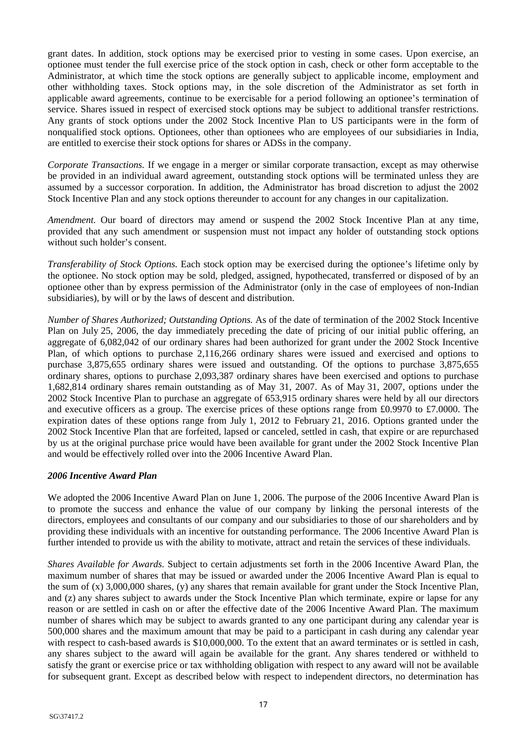grant dates. In addition, stock options may be exercised prior to vesting in some cases. Upon exercise, an optionee must tender the full exercise price of the stock option in cash, check or other form acceptable to the Administrator, at which time the stock options are generally subject to applicable income, employment and other withholding taxes. Stock options may, in the sole discretion of the Administrator as set forth in applicable award agreements, continue to be exercisable for a period following an optionee's termination of service. Shares issued in respect of exercised stock options may be subject to additional transfer restrictions. Any grants of stock options under the 2002 Stock Incentive Plan to US participants were in the form of nonqualified stock options. Optionees, other than optionees who are employees of our subsidiaries in India, are entitled to exercise their stock options for shares or ADSs in the company.

*Corporate Transactions.* If we engage in a merger or similar corporate transaction, except as may otherwise be provided in an individual award agreement, outstanding stock options will be terminated unless they are assumed by a successor corporation. In addition, the Administrator has broad discretion to adjust the 2002 Stock Incentive Plan and any stock options thereunder to account for any changes in our capitalization.

*Amendment.* Our board of directors may amend or suspend the 2002 Stock Incentive Plan at any time, provided that any such amendment or suspension must not impact any holder of outstanding stock options without such holder's consent.

*Transferability of Stock Options.* Each stock option may be exercised during the optionee's lifetime only by the optionee. No stock option may be sold, pledged, assigned, hypothecated, transferred or disposed of by an optionee other than by express permission of the Administrator (only in the case of employees of non-Indian subsidiaries), by will or by the laws of descent and distribution.

*Number of Shares Authorized; Outstanding Options.* As of the date of termination of the 2002 Stock Incentive Plan on July 25, 2006, the day immediately preceding the date of pricing of our initial public offering, an aggregate of 6,082,042 of our ordinary shares had been authorized for grant under the 2002 Stock Incentive Plan, of which options to purchase 2,116,266 ordinary shares were issued and exercised and options to purchase 3,875,655 ordinary shares were issued and outstanding. Of the options to purchase 3,875,655 ordinary shares, options to purchase 2,093,387 ordinary shares have been exercised and options to purchase 1,682,814 ordinary shares remain outstanding as of May 31, 2007. As of May 31, 2007, options under the 2002 Stock Incentive Plan to purchase an aggregate of 653,915 ordinary shares were held by all our directors and executive officers as a group. The exercise prices of these options range from £0.9970 to £7.0000. The expiration dates of these options range from July 1, 2012 to February 21, 2016. Options granted under the 2002 Stock Incentive Plan that are forfeited, lapsed or canceled, settled in cash, that expire or are repurchased by us at the original purchase price would have been available for grant under the 2002 Stock Incentive Plan and would be effectively rolled over into the 2006 Incentive Award Plan.

#### *2006 Incentive Award Plan*

We adopted the 2006 Incentive Award Plan on June 1, 2006. The purpose of the 2006 Incentive Award Plan is to promote the success and enhance the value of our company by linking the personal interests of the directors, employees and consultants of our company and our subsidiaries to those of our shareholders and by providing these individuals with an incentive for outstanding performance. The 2006 Incentive Award Plan is further intended to provide us with the ability to motivate, attract and retain the services of these individuals.

*Shares Available for Awards.* Subject to certain adjustments set forth in the 2006 Incentive Award Plan, the maximum number of shares that may be issued or awarded under the 2006 Incentive Award Plan is equal to the sum of (x) 3,000,000 shares, (y) any shares that remain available for grant under the Stock Incentive Plan, and (z) any shares subject to awards under the Stock Incentive Plan which terminate, expire or lapse for any reason or are settled in cash on or after the effective date of the 2006 Incentive Award Plan. The maximum number of shares which may be subject to awards granted to any one participant during any calendar year is 500,000 shares and the maximum amount that may be paid to a participant in cash during any calendar year with respect to cash-based awards is \$10,000,000. To the extent that an award terminates or is settled in cash, any shares subject to the award will again be available for the grant. Any shares tendered or withheld to satisfy the grant or exercise price or tax withholding obligation with respect to any award will not be available for subsequent grant. Except as described below with respect to independent directors, no determination has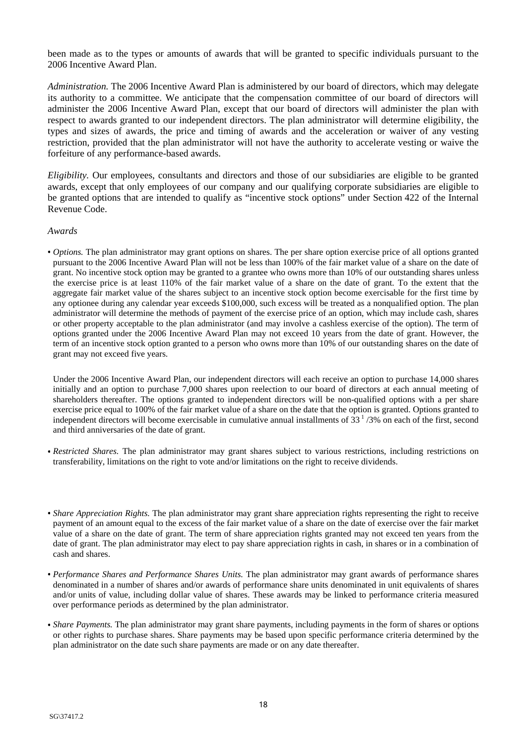been made as to the types or amounts of awards that will be granted to specific individuals pursuant to the 2006 Incentive Award Plan.

*Administration.* The 2006 Incentive Award Plan is administered by our board of directors, which may delegate its authority to a committee. We anticipate that the compensation committee of our board of directors will administer the 2006 Incentive Award Plan, except that our board of directors will administer the plan with respect to awards granted to our independent directors. The plan administrator will determine eligibility, the types and sizes of awards, the price and timing of awards and the acceleration or waiver of any vesting restriction, provided that the plan administrator will not have the authority to accelerate vesting or waive the forfeiture of any performance-based awards.

*Eligibility.* Our employees, consultants and directors and those of our subsidiaries are eligible to be granted awards, except that only employees of our company and our qualifying corporate subsidiaries are eligible to be granted options that are intended to qualify as "incentive stock options" under Section 422 of the Internal Revenue Code.

#### *Awards*

**•** *Options.* The plan administrator may grant options on shares. The per share option exercise price of all options granted pursuant to the 2006 Incentive Award Plan will not be less than 100% of the fair market value of a share on the date of grant. No incentive stock option may be granted to a grantee who owns more than 10% of our outstanding shares unless the exercise price is at least 110% of the fair market value of a share on the date of grant. To the extent that the aggregate fair market value of the shares subject to an incentive stock option become exercisable for the first time by any optionee during any calendar year exceeds \$100,000, such excess will be treated as a nonqualified option. The plan administrator will determine the methods of payment of the exercise price of an option, which may include cash, shares or other property acceptable to the plan administrator (and may involve a cashless exercise of the option). The term of options granted under the 2006 Incentive Award Plan may not exceed 10 years from the date of grant. However, the term of an incentive stock option granted to a person who owns more than 10% of our outstanding shares on the date of grant may not exceed five years.

Under the 2006 Incentive Award Plan, our independent directors will each receive an option to purchase 14,000 shares initially and an option to purchase 7,000 shares upon reelection to our board of directors at each annual meeting of shareholders thereafter. The options granted to independent directors will be non-qualified options with a per share exercise price equal to 100% of the fair market value of a share on the date that the option is granted. Options granted to independent directors will become exercisable in cumulative annual installments of  $33<sup>1</sup>/3%$  on each of the first, second and third anniversaries of the date of grant.

- **•** *Restricted Shares.* The plan administrator may grant shares subject to various restrictions, including restrictions on transferability, limitations on the right to vote and/or limitations on the right to receive dividends.
- **•** *Share Appreciation Rights.* The plan administrator may grant share appreciation rights representing the right to receive payment of an amount equal to the excess of the fair market value of a share on the date of exercise over the fair market value of a share on the date of grant. The term of share appreciation rights granted may not exceed ten years from the date of grant. The plan administrator may elect to pay share appreciation rights in cash, in shares or in a combination of cash and shares.
- **•** *Performance Shares and Performance Shares Units.* The plan administrator may grant awards of performance shares denominated in a number of shares and/or awards of performance share units denominated in unit equivalents of shares and/or units of value, including dollar value of shares. These awards may be linked to performance criteria measured over performance periods as determined by the plan administrator.
- **•** *Share Payments.* The plan administrator may grant share payments, including payments in the form of shares or options or other rights to purchase shares. Share payments may be based upon specific performance criteria determined by the plan administrator on the date such share payments are made or on any date thereafter.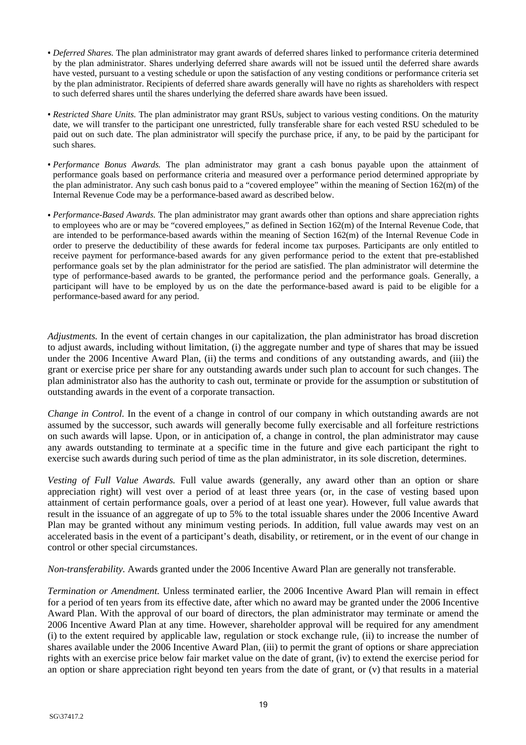- **•** *Deferred Shares.* The plan administrator may grant awards of deferred shares linked to performance criteria determined by the plan administrator. Shares underlying deferred share awards will not be issued until the deferred share awards have vested, pursuant to a vesting schedule or upon the satisfaction of any vesting conditions or performance criteria set by the plan administrator. Recipients of deferred share awards generally will have no rights as shareholders with respect to such deferred shares until the shares underlying the deferred share awards have been issued.
- **•** *Restricted Share Units.* The plan administrator may grant RSUs, subject to various vesting conditions. On the maturity date, we will transfer to the participant one unrestricted, fully transferable share for each vested RSU scheduled to be paid out on such date. The plan administrator will specify the purchase price, if any, to be paid by the participant for such shares.
- **•** *Performance Bonus Awards.* The plan administrator may grant a cash bonus payable upon the attainment of performance goals based on performance criteria and measured over a performance period determined appropriate by the plan administrator. Any such cash bonus paid to a "covered employee" within the meaning of Section 162(m) of the Internal Revenue Code may be a performance-based award as described below.
- **•** *Performance-Based Awards.* The plan administrator may grant awards other than options and share appreciation rights to employees who are or may be "covered employees," as defined in Section 162(m) of the Internal Revenue Code, that are intended to be performance-based awards within the meaning of Section 162(m) of the Internal Revenue Code in order to preserve the deductibility of these awards for federal income tax purposes. Participants are only entitled to receive payment for performance-based awards for any given performance period to the extent that pre-established performance goals set by the plan administrator for the period are satisfied. The plan administrator will determine the type of performance-based awards to be granted, the performance period and the performance goals. Generally, a participant will have to be employed by us on the date the performance-based award is paid to be eligible for a performance-based award for any period.

*Adjustments.* In the event of certain changes in our capitalization, the plan administrator has broad discretion to adjust awards, including without limitation, (i) the aggregate number and type of shares that may be issued under the 2006 Incentive Award Plan, (ii) the terms and conditions of any outstanding awards, and (iii) the grant or exercise price per share for any outstanding awards under such plan to account for such changes. The plan administrator also has the authority to cash out, terminate or provide for the assumption or substitution of outstanding awards in the event of a corporate transaction.

*Change in Control.* In the event of a change in control of our company in which outstanding awards are not assumed by the successor, such awards will generally become fully exercisable and all forfeiture restrictions on such awards will lapse. Upon, or in anticipation of, a change in control, the plan administrator may cause any awards outstanding to terminate at a specific time in the future and give each participant the right to exercise such awards during such period of time as the plan administrator, in its sole discretion, determines.

*Vesting of Full Value Awards.* Full value awards (generally, any award other than an option or share appreciation right) will vest over a period of at least three years (or, in the case of vesting based upon attainment of certain performance goals, over a period of at least one year). However, full value awards that result in the issuance of an aggregate of up to 5% to the total issuable shares under the 2006 Incentive Award Plan may be granted without any minimum vesting periods. In addition, full value awards may vest on an accelerated basis in the event of a participant's death, disability, or retirement, or in the event of our change in control or other special circumstances.

*Non-transferability.* Awards granted under the 2006 Incentive Award Plan are generally not transferable.

*Termination or Amendment.* Unless terminated earlier, the 2006 Incentive Award Plan will remain in effect for a period of ten years from its effective date, after which no award may be granted under the 2006 Incentive Award Plan. With the approval of our board of directors, the plan administrator may terminate or amend the 2006 Incentive Award Plan at any time. However, shareholder approval will be required for any amendment (i) to the extent required by applicable law, regulation or stock exchange rule, (ii) to increase the number of shares available under the 2006 Incentive Award Plan, (iii) to permit the grant of options or share appreciation rights with an exercise price below fair market value on the date of grant, (iv) to extend the exercise period for an option or share appreciation right beyond ten years from the date of grant, or (v) that results in a material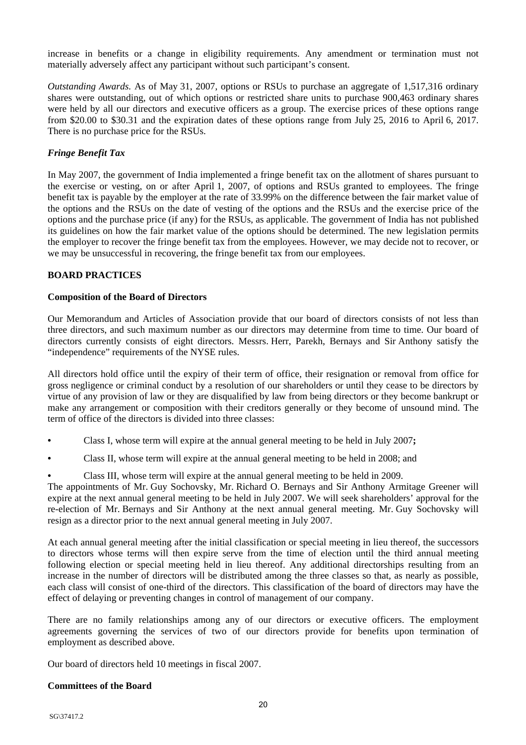increase in benefits or a change in eligibility requirements. Any amendment or termination must not materially adversely affect any participant without such participant's consent.

*Outstanding Awards.* As of May 31, 2007, options or RSUs to purchase an aggregate of 1,517,316 ordinary shares were outstanding, out of which options or restricted share units to purchase 900,463 ordinary shares were held by all our directors and executive officers as a group. The exercise prices of these options range from \$20.00 to \$30.31 and the expiration dates of these options range from July 25, 2016 to April 6, 2017. There is no purchase price for the RSUs.

## *Fringe Benefit Tax*

In May 2007, the government of India implemented a fringe benefit tax on the allotment of shares pursuant to the exercise or vesting, on or after April 1, 2007, of options and RSUs granted to employees. The fringe benefit tax is payable by the employer at the rate of 33.99% on the difference between the fair market value of the options and the RSUs on the date of vesting of the options and the RSUs and the exercise price of the options and the purchase price (if any) for the RSUs, as applicable. The government of India has not published its guidelines on how the fair market value of the options should be determined. The new legislation permits the employer to recover the fringe benefit tax from the employees. However, we may decide not to recover, or we may be unsuccessful in recovering, the fringe benefit tax from our employees.

## **BOARD PRACTICES**

## **Composition of the Board of Directors**

Our Memorandum and Articles of Association provide that our board of directors consists of not less than three directors, and such maximum number as our directors may determine from time to time. Our board of directors currently consists of eight directors. Messrs. Herr, Parekh, Bernays and Sir Anthony satisfy the "independence" requirements of the NYSE rules.

All directors hold office until the expiry of their term of office, their resignation or removal from office for gross negligence or criminal conduct by a resolution of our shareholders or until they cease to be directors by virtue of any provision of law or they are disqualified by law from being directors or they become bankrupt or make any arrangement or composition with their creditors generally or they become of unsound mind. The term of office of the directors is divided into three classes:

- Class I, whose term will expire at the annual general meeting to be held in July 2007**;**
- Class II, whose term will expire at the annual general meeting to be held in 2008; and
- Class III, whose term will expire at the annual general meeting to be held in 2009.

The appointments of Mr. Guy Sochovsky, Mr. Richard O. Bernays and Sir Anthony Armitage Greener will expire at the next annual general meeting to be held in July 2007. We will seek shareholders' approval for the re-election of Mr. Bernays and Sir Anthony at the next annual general meeting. Mr. Guy Sochovsky will resign as a director prior to the next annual general meeting in July 2007.

At each annual general meeting after the initial classification or special meeting in lieu thereof, the successors to directors whose terms will then expire serve from the time of election until the third annual meeting following election or special meeting held in lieu thereof. Any additional directorships resulting from an increase in the number of directors will be distributed among the three classes so that, as nearly as possible, each class will consist of one-third of the directors. This classification of the board of directors may have the effect of delaying or preventing changes in control of management of our company.

There are no family relationships among any of our directors or executive officers. The employment agreements governing the services of two of our directors provide for benefits upon termination of employment as described above.

Our board of directors held 10 meetings in fiscal 2007.

#### **Committees of the Board**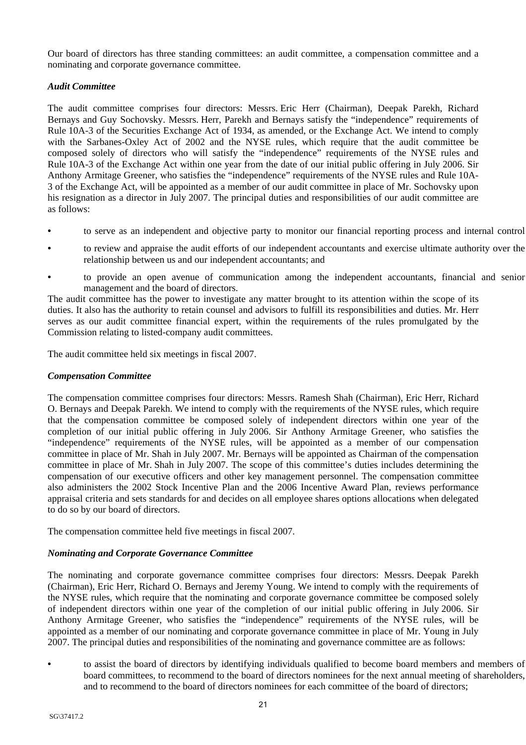Our board of directors has three standing committees: an audit committee, a compensation committee and a nominating and corporate governance committee.

## *Audit Committee*

The audit committee comprises four directors: Messrs. Eric Herr (Chairman), Deepak Parekh, Richard Bernays and Guy Sochovsky. Messrs. Herr, Parekh and Bernays satisfy the "independence" requirements of Rule 10A-3 of the Securities Exchange Act of 1934, as amended, or the Exchange Act. We intend to comply with the Sarbanes-Oxley Act of 2002 and the NYSE rules, which require that the audit committee be composed solely of directors who will satisfy the "independence" requirements of the NYSE rules and Rule 10A-3 of the Exchange Act within one year from the date of our initial public offering in July 2006. Sir Anthony Armitage Greener, who satisfies the "independence" requirements of the NYSE rules and Rule 10A-3 of the Exchange Act, will be appointed as a member of our audit committee in place of Mr. Sochovsky upon his resignation as a director in July 2007. The principal duties and responsibilities of our audit committee are as follows:

- to serve as an independent and objective party to monitor our financial reporting process and internal control
- to review and appraise the audit efforts of our independent accountants and exercise ultimate authority over the relationship between us and our independent accountants; and
- to provide an open avenue of communication among the independent accountants, financial and senior management and the board of directors.

The audit committee has the power to investigate any matter brought to its attention within the scope of its duties. It also has the authority to retain counsel and advisors to fulfill its responsibilities and duties. Mr. Herr serves as our audit committee financial expert, within the requirements of the rules promulgated by the Commission relating to listed-company audit committees.

The audit committee held six meetings in fiscal 2007.

## *Compensation Committee*

The compensation committee comprises four directors: Messrs. Ramesh Shah (Chairman), Eric Herr, Richard O. Bernays and Deepak Parekh. We intend to comply with the requirements of the NYSE rules, which require that the compensation committee be composed solely of independent directors within one year of the completion of our initial public offering in July 2006. Sir Anthony Armitage Greener, who satisfies the "independence" requirements of the NYSE rules, will be appointed as a member of our compensation committee in place of Mr. Shah in July 2007. Mr. Bernays will be appointed as Chairman of the compensation committee in place of Mr. Shah in July 2007. The scope of this committee's duties includes determining the compensation of our executive officers and other key management personnel. The compensation committee also administers the 2002 Stock Incentive Plan and the 2006 Incentive Award Plan, reviews performance appraisal criteria and sets standards for and decides on all employee shares options allocations when delegated to do so by our board of directors.

The compensation committee held five meetings in fiscal 2007.

# *Nominating and Corporate Governance Committee*

The nominating and corporate governance committee comprises four directors: Messrs. Deepak Parekh (Chairman), Eric Herr, Richard O. Bernays and Jeremy Young. We intend to comply with the requirements of the NYSE rules, which require that the nominating and corporate governance committee be composed solely of independent directors within one year of the completion of our initial public offering in July 2006. Sir Anthony Armitage Greener, who satisfies the "independence" requirements of the NYSE rules, will be appointed as a member of our nominating and corporate governance committee in place of Mr. Young in July 2007. The principal duties and responsibilities of the nominating and governance committee are as follows:

**•** to assist the board of directors by identifying individuals qualified to become board members and members of board committees, to recommend to the board of directors nominees for the next annual meeting of shareholders, and to recommend to the board of directors nominees for each committee of the board of directors;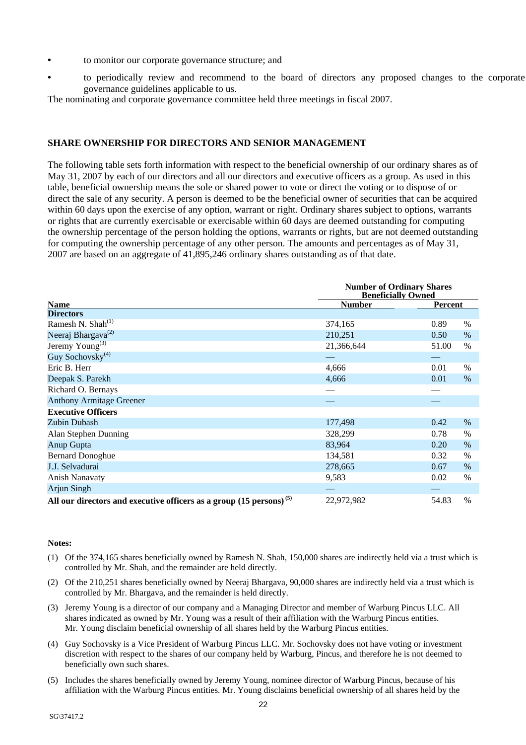- to monitor our corporate governance structure; and
- to periodically review and recommend to the board of directors any proposed changes to the corporate governance guidelines applicable to us.

The nominating and corporate governance committee held three meetings in fiscal 2007.

## **SHARE OWNERSHIP FOR DIRECTORS AND SENIOR MANAGEMENT**

The following table sets forth information with respect to the beneficial ownership of our ordinary shares as of May 31, 2007 by each of our directors and all our directors and executive officers as a group. As used in this table, beneficial ownership means the sole or shared power to vote or direct the voting or to dispose of or direct the sale of any security. A person is deemed to be the beneficial owner of securities that can be acquired within 60 days upon the exercise of any option, warrant or right. Ordinary shares subject to options, warrants or rights that are currently exercisable or exercisable within 60 days are deemed outstanding for computing the ownership percentage of the person holding the options, warrants or rights, but are not deemed outstanding for computing the ownership percentage of any other person. The amounts and percentages as of May 31, 2007 are based on an aggregate of 41,895,246 ordinary shares outstanding as of that date.

|                                                                                  | <b>Number of Ordinary Shares</b><br><b>Beneficially Owned</b> |                |      |  |
|----------------------------------------------------------------------------------|---------------------------------------------------------------|----------------|------|--|
| <b>Name</b>                                                                      | <b>Number</b>                                                 | <b>Percent</b> |      |  |
| <b>Directors</b>                                                                 |                                                               |                |      |  |
| Ramesh N. Shah $^{(1)}$                                                          | 374,165                                                       | 0.89           | $\%$ |  |
| Neeraj Bhargava <sup>(2)</sup>                                                   | 210,251                                                       | 0.50           | $\%$ |  |
| Jeremy Young <sup>(3)</sup>                                                      | 21,366,644                                                    | 51.00          | $\%$ |  |
| Guy Sochovsky <sup>(4)</sup>                                                     |                                                               |                |      |  |
| Eric B. Herr                                                                     | 4,666                                                         | 0.01           | $\%$ |  |
| Deepak S. Parekh                                                                 | 4,666                                                         | 0.01           | $\%$ |  |
| Richard O. Bernays                                                               |                                                               |                |      |  |
| <b>Anthony Armitage Greener</b>                                                  |                                                               |                |      |  |
| <b>Executive Officers</b>                                                        |                                                               |                |      |  |
| Zubin Dubash                                                                     | 177,498                                                       | 0.42           | $\%$ |  |
| Alan Stephen Dunning                                                             | 328,299                                                       | 0.78           | $\%$ |  |
| Anup Gupta                                                                       | 83,964                                                        | 0.20           | $\%$ |  |
| <b>Bernard Donoghue</b>                                                          | 134,581                                                       | 0.32           | $\%$ |  |
| J.J. Selvadurai                                                                  | 278,665                                                       | 0.67           | $\%$ |  |
| <b>Anish Nanavaty</b>                                                            | 9,583                                                         | 0.02           | $\%$ |  |
| Arjun Singh                                                                      |                                                               |                |      |  |
| All our directors and executive officers as a group $(15 \text{ persons})^{(5)}$ | 22,972,982                                                    | 54.83          | $\%$ |  |

#### **Notes:**

- (1) Of the 374,165 shares beneficially owned by Ramesh N. Shah, 150,000 shares are indirectly held via a trust which is controlled by Mr. Shah, and the remainder are held directly.
- (2) Of the 210,251 shares beneficially owned by Neeraj Bhargava, 90,000 shares are indirectly held via a trust which is controlled by Mr. Bhargava, and the remainder is held directly.
- (3) Jeremy Young is a director of our company and a Managing Director and member of Warburg Pincus LLC. All shares indicated as owned by Mr. Young was a result of their affiliation with the Warburg Pincus entities. Mr. Young disclaim beneficial ownership of all shares held by the Warburg Pincus entities.
- (4) Guy Sochovsky is a Vice President of Warburg Pincus LLC. Mr. Sochovsky does not have voting or investment discretion with respect to the shares of our company held by Warburg, Pincus, and therefore he is not deemed to beneficially own such shares.
- (5) Includes the shares beneficially owned by Jeremy Young, nominee director of Warburg Pincus, because of his affiliation with the Warburg Pincus entities. Mr. Young disclaims beneficial ownership of all shares held by the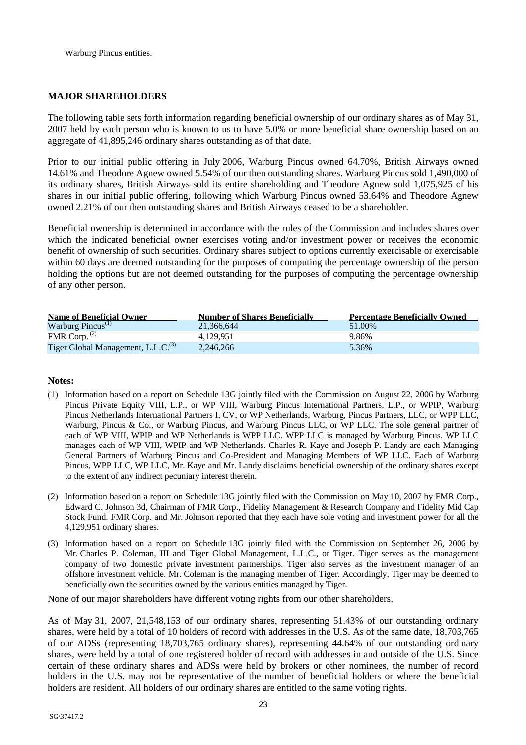Warburg Pincus entities.

## **MAJOR SHAREHOLDERS**

The following table sets forth information regarding beneficial ownership of our ordinary shares as of May 31, 2007 held by each person who is known to us to have 5.0% or more beneficial share ownership based on an aggregate of 41,895,246 ordinary shares outstanding as of that date.

Prior to our initial public offering in July 2006, Warburg Pincus owned 64.70%, British Airways owned 14.61% and Theodore Agnew owned 5.54% of our then outstanding shares. Warburg Pincus sold 1,490,000 of its ordinary shares, British Airways sold its entire shareholding and Theodore Agnew sold 1,075,925 of his shares in our initial public offering, following which Warburg Pincus owned 53.64% and Theodore Agnew owned 2.21% of our then outstanding shares and British Airways ceased to be a shareholder.

Beneficial ownership is determined in accordance with the rules of the Commission and includes shares over which the indicated beneficial owner exercises voting and/or investment power or receives the economic benefit of ownership of such securities. Ordinary shares subject to options currently exercisable or exercisable within 60 days are deemed outstanding for the purposes of computing the percentage ownership of the person holding the options but are not deemed outstanding for the purposes of computing the percentage ownership of any other person.

| <b>Name of Beneficial Owner</b>                | <b>Number of Shares Beneficially</b> | <b>Percentage Beneficially Owned</b> |
|------------------------------------------------|--------------------------------------|--------------------------------------|
| Warburg Pincus $^{(1)}$                        | 21.366.644                           | 51.00%                               |
| FMR Corp. $(2)$                                | 4.129.951                            | 9.86%                                |
| Tiger Global Management, L.L.C. <sup>(3)</sup> | 2,246,266                            | 5.36%                                |

#### **Notes:**

- (1) Information based on a report on Schedule 13G jointly filed with the Commission on August 22, 2006 by Warburg Pincus Private Equity VIII, L.P., or WP VIII, Warburg Pincus International Partners, L.P., or WPIP, Warburg Pincus Netherlands International Partners I, CV, or WP Netherlands, Warburg, Pincus Partners, LLC, or WPP LLC, Warburg, Pincus & Co., or Warburg Pincus, and Warburg Pincus LLC, or WP LLC. The sole general partner of each of WP VIII, WPIP and WP Netherlands is WPP LLC. WPP LLC is managed by Warburg Pincus. WP LLC manages each of WP VIII, WPIP and WP Netherlands. Charles R. Kaye and Joseph P. Landy are each Managing General Partners of Warburg Pincus and Co-President and Managing Members of WP LLC. Each of Warburg Pincus, WPP LLC, WP LLC, Mr. Kaye and Mr. Landy disclaims beneficial ownership of the ordinary shares except to the extent of any indirect pecuniary interest therein.
- (2) Information based on a report on Schedule 13G jointly filed with the Commission on May 10, 2007 by FMR Corp., Edward C. Johnson 3d, Chairman of FMR Corp., Fidelity Management & Research Company and Fidelity Mid Cap Stock Fund. FMR Corp. and Mr. Johnson reported that they each have sole voting and investment power for all the 4,129,951 ordinary shares.
- (3) Information based on a report on Schedule 13G jointly filed with the Commission on September 26, 2006 by Mr. Charles P. Coleman, III and Tiger Global Management, L.L.C., or Tiger. Tiger serves as the management company of two domestic private investment partnerships. Tiger also serves as the investment manager of an offshore investment vehicle. Mr. Coleman is the managing member of Tiger. Accordingly, Tiger may be deemed to beneficially own the securities owned by the various entities managed by Tiger.

None of our major shareholders have different voting rights from our other shareholders.

As of May 31, 2007, 21,548,153 of our ordinary shares, representing 51.43% of our outstanding ordinary shares, were held by a total of 10 holders of record with addresses in the U.S. As of the same date, 18,703,765 of our ADSs (representing 18,703,765 ordinary shares), representing 44.64% of our outstanding ordinary shares, were held by a total of one registered holder of record with addresses in and outside of the U.S. Since certain of these ordinary shares and ADSs were held by brokers or other nominees, the number of record holders in the U.S. may not be representative of the number of beneficial holders or where the beneficial holders are resident. All holders of our ordinary shares are entitled to the same voting rights.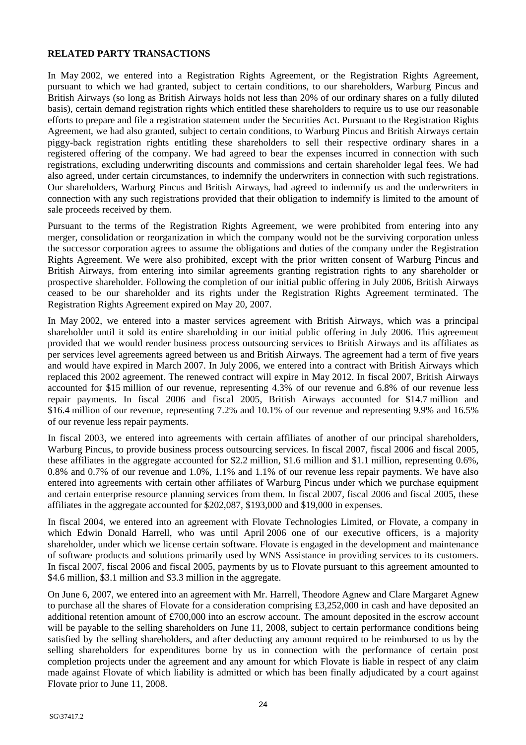## **RELATED PARTY TRANSACTIONS**

In May 2002, we entered into a Registration Rights Agreement, or the Registration Rights Agreement, pursuant to which we had granted, subject to certain conditions, to our shareholders, Warburg Pincus and British Airways (so long as British Airways holds not less than 20% of our ordinary shares on a fully diluted basis), certain demand registration rights which entitled these shareholders to require us to use our reasonable efforts to prepare and file a registration statement under the Securities Act. Pursuant to the Registration Rights Agreement, we had also granted, subject to certain conditions, to Warburg Pincus and British Airways certain piggy-back registration rights entitling these shareholders to sell their respective ordinary shares in a registered offering of the company. We had agreed to bear the expenses incurred in connection with such registrations, excluding underwriting discounts and commissions and certain shareholder legal fees. We had also agreed, under certain circumstances, to indemnify the underwriters in connection with such registrations. Our shareholders, Warburg Pincus and British Airways, had agreed to indemnify us and the underwriters in connection with any such registrations provided that their obligation to indemnify is limited to the amount of sale proceeds received by them.

Pursuant to the terms of the Registration Rights Agreement, we were prohibited from entering into any merger, consolidation or reorganization in which the company would not be the surviving corporation unless the successor corporation agrees to assume the obligations and duties of the company under the Registration Rights Agreement. We were also prohibited, except with the prior written consent of Warburg Pincus and British Airways, from entering into similar agreements granting registration rights to any shareholder or prospective shareholder. Following the completion of our initial public offering in July 2006, British Airways ceased to be our shareholder and its rights under the Registration Rights Agreement terminated. The Registration Rights Agreement expired on May 20, 2007.

In May 2002, we entered into a master services agreement with British Airways, which was a principal shareholder until it sold its entire shareholding in our initial public offering in July 2006. This agreement provided that we would render business process outsourcing services to British Airways and its affiliates as per services level agreements agreed between us and British Airways. The agreement had a term of five years and would have expired in March 2007. In July 2006, we entered into a contract with British Airways which replaced this 2002 agreement. The renewed contract will expire in May 2012. In fiscal 2007, British Airways accounted for \$15 million of our revenue, representing 4.3% of our revenue and 6.8% of our revenue less repair payments. In fiscal 2006 and fiscal 2005, British Airways accounted for \$14.7 million and \$16.4 million of our revenue, representing 7.2% and 10.1% of our revenue and representing 9.9% and 16.5% of our revenue less repair payments.

In fiscal 2003, we entered into agreements with certain affiliates of another of our principal shareholders, Warburg Pincus, to provide business process outsourcing services. In fiscal 2007, fiscal 2006 and fiscal 2005, these affiliates in the aggregate accounted for \$2.2 million, \$1.6 million and \$1.1 million, representing 0.6%, 0.8% and 0.7% of our revenue and 1.0%, 1.1% and 1.1% of our revenue less repair payments. We have also entered into agreements with certain other affiliates of Warburg Pincus under which we purchase equipment and certain enterprise resource planning services from them. In fiscal 2007, fiscal 2006 and fiscal 2005, these affiliates in the aggregate accounted for \$202,087, \$193,000 and \$19,000 in expenses.

In fiscal 2004, we entered into an agreement with Flovate Technologies Limited, or Flovate, a company in which Edwin Donald Harrell, who was until April 2006 one of our executive officers, is a majority shareholder, under which we license certain software. Flovate is engaged in the development and maintenance of software products and solutions primarily used by WNS Assistance in providing services to its customers. In fiscal 2007, fiscal 2006 and fiscal 2005, payments by us to Flovate pursuant to this agreement amounted to \$4.6 million, \$3.1 million and \$3.3 million in the aggregate.

On June 6, 2007, we entered into an agreement with Mr. Harrell, Theodore Agnew and Clare Margaret Agnew to purchase all the shares of Flovate for a consideration comprising £3,252,000 in cash and have deposited an additional retention amount of £700,000 into an escrow account. The amount deposited in the escrow account will be payable to the selling shareholders on June 11, 2008, subject to certain performance conditions being satisfied by the selling shareholders, and after deducting any amount required to be reimbursed to us by the selling shareholders for expenditures borne by us in connection with the performance of certain post completion projects under the agreement and any amount for which Flovate is liable in respect of any claim made against Flovate of which liability is admitted or which has been finally adjudicated by a court against Flovate prior to June 11, 2008.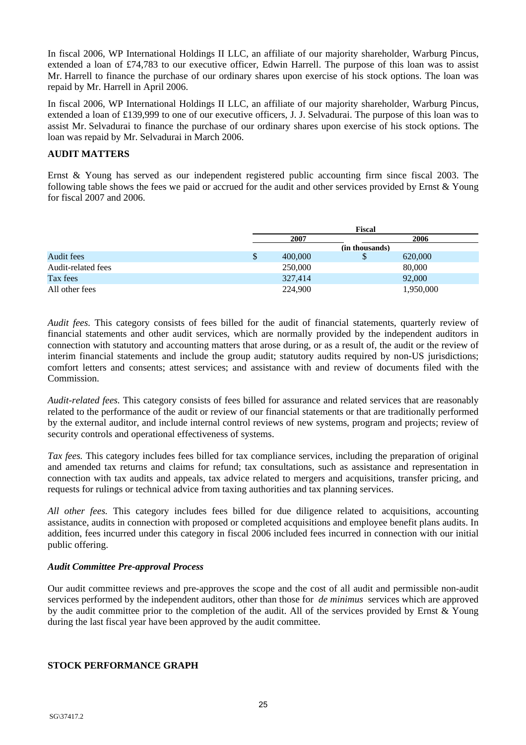In fiscal 2006, WP International Holdings II LLC, an affiliate of our majority shareholder, Warburg Pincus, extended a loan of £74,783 to our executive officer, Edwin Harrell. The purpose of this loan was to assist Mr. Harrell to finance the purchase of our ordinary shares upon exercise of his stock options. The loan was repaid by Mr. Harrell in April 2006.

In fiscal 2006, WP International Holdings II LLC, an affiliate of our majority shareholder, Warburg Pincus, extended a loan of £139,999 to one of our executive officers, J. J. Selvadurai. The purpose of this loan was to assist Mr. Selvadurai to finance the purchase of our ordinary shares upon exercise of his stock options. The loan was repaid by Mr. Selvadurai in March 2006.

## **AUDIT MATTERS**

Ernst & Young has served as our independent registered public accounting firm since fiscal 2003. The following table shows the fees we paid or accrued for the audit and other services provided by Ernst & Young for fiscal 2007 and 2006.

|                    |   | <b>Fiscal</b> |                |           |
|--------------------|---|---------------|----------------|-----------|
|                    |   | 2007          |                | 2006      |
|                    |   |               | (in thousands) |           |
| Audit fees         | S | 400,000       | Φ              | 620,000   |
| Audit-related fees |   | 250,000       |                | 80,000    |
| Tax fees           |   | 327,414       |                | 92,000    |
| All other fees     |   | 224,900       |                | 1,950,000 |

*Audit fees.* This category consists of fees billed for the audit of financial statements, quarterly review of financial statements and other audit services, which are normally provided by the independent auditors in connection with statutory and accounting matters that arose during, or as a result of, the audit or the review of interim financial statements and include the group audit; statutory audits required by non-US jurisdictions; comfort letters and consents; attest services; and assistance with and review of documents filed with the Commission.

*Audit-related fees.* This category consists of fees billed for assurance and related services that are reasonably related to the performance of the audit or review of our financial statements or that are traditionally performed by the external auditor, and include internal control reviews of new systems, program and projects; review of security controls and operational effectiveness of systems.

*Tax fees.* This category includes fees billed for tax compliance services, including the preparation of original and amended tax returns and claims for refund; tax consultations, such as assistance and representation in connection with tax audits and appeals, tax advice related to mergers and acquisitions, transfer pricing, and requests for rulings or technical advice from taxing authorities and tax planning services.

*All other fees.* This category includes fees billed for due diligence related to acquisitions, accounting assistance, audits in connection with proposed or completed acquisitions and employee benefit plans audits. In addition, fees incurred under this category in fiscal 2006 included fees incurred in connection with our initial public offering.

#### *Audit Committee Pre-approval Process*

Our audit committee reviews and pre-approves the scope and the cost of all audit and permissible non-audit services performed by the independent auditors, other than those for *de minimus* services which are approved by the audit committee prior to the completion of the audit. All of the services provided by Ernst & Young during the last fiscal year have been approved by the audit committee.

# **STOCK PERFORMANCE GRAPH**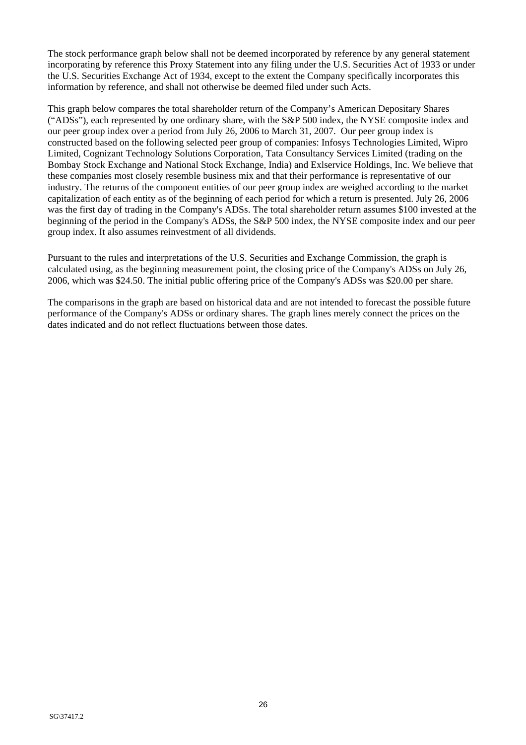The stock performance graph below shall not be deemed incorporated by reference by any general statement incorporating by reference this Proxy Statement into any filing under the U.S. Securities Act of 1933 or under the U.S. Securities Exchange Act of 1934, except to the extent the Company specifically incorporates this information by reference, and shall not otherwise be deemed filed under such Acts.

This graph below compares the total shareholder return of the Company's American Depositary Shares ("ADSs"), each represented by one ordinary share, with the S&P 500 index, the NYSE composite index and our peer group index over a period from July 26, 2006 to March 31, 2007. Our peer group index is constructed based on the following selected peer group of companies: Infosys Technologies Limited, Wipro Limited, Cognizant Technology Solutions Corporation, Tata Consultancy Services Limited (trading on the Bombay Stock Exchange and National Stock Exchange, India) and Exlservice Holdings, Inc. We believe that these companies most closely resemble business mix and that their performance is representative of our industry. The returns of the component entities of our peer group index are weighed according to the market capitalization of each entity as of the beginning of each period for which a return is presented. July 26, 2006 was the first day of trading in the Company's ADSs. The total shareholder return assumes \$100 invested at the beginning of the period in the Company's ADSs, the S&P 500 index, the NYSE composite index and our peer group index. It also assumes reinvestment of all dividends.

Pursuant to the rules and interpretations of the U.S. Securities and Exchange Commission, the graph is calculated using, as the beginning measurement point, the closing price of the Company's ADSs on July 26, 2006, which was \$24.50. The initial public offering price of the Company's ADSs was \$20.00 per share.

The comparisons in the graph are based on historical data and are not intended to forecast the possible future performance of the Company's ADSs or ordinary shares. The graph lines merely connect the prices on the dates indicated and do not reflect fluctuations between those dates.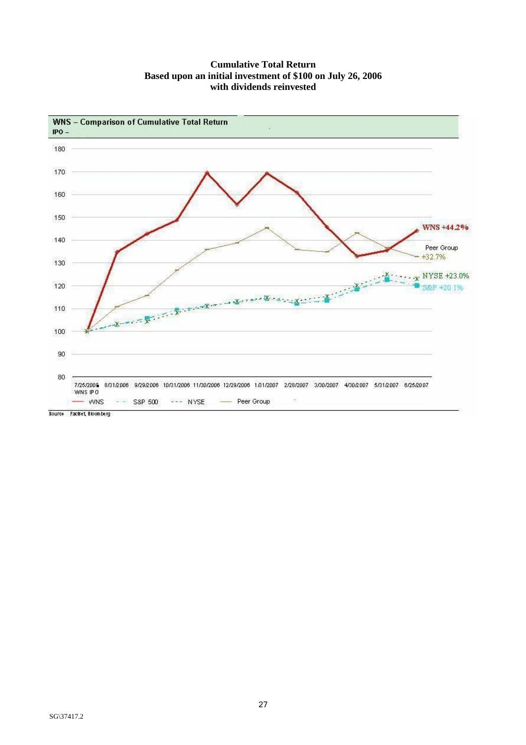## **Cumulative Total Return Based upon an initial investment of \$100 on July 26, 2006 with dividends reinvested**

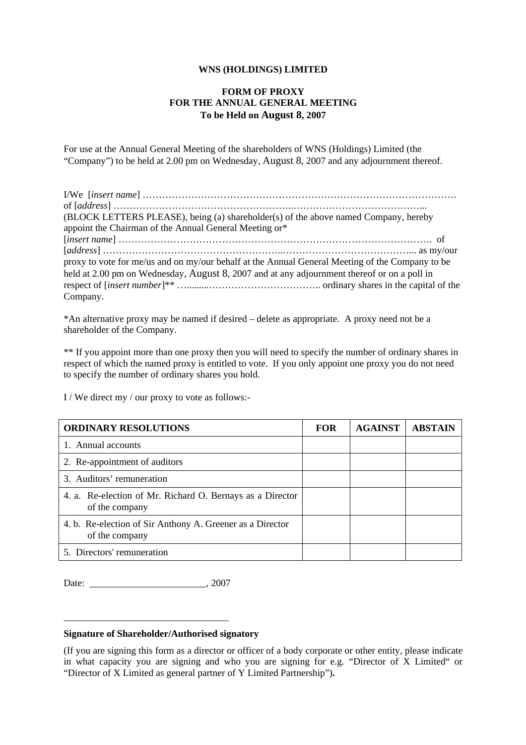## **WNS (HOLDINGS) LIMITED**

## **FORM OF PROXY FOR THE ANNUAL GENERAL MEETING To be Held on August 8, 2007**

For use at the Annual General Meeting of the shareholders of WNS (Holdings) Limited (the "Company") to be held at 2.00 pm on Wednesday, August 8, 2007 and any adjournment thereof.

| (BLOCK LETTERS PLEASE), being (a) shareholder(s) of the above named Company, hereby             |
|-------------------------------------------------------------------------------------------------|
| appoint the Chairman of the Annual General Meeting or*                                          |
|                                                                                                 |
|                                                                                                 |
| proxy to vote for me/us and on my/our behalf at the Annual General Meeting of the Company to be |
| held at 2.00 pm on Wednesday, August 8, 2007 and at any adjournment thereof or on a poll in     |
|                                                                                                 |
| Company.                                                                                        |

\*An alternative proxy may be named if desired – delete as appropriate. A proxy need not be a shareholder of the Company.

\*\* If you appoint more than one proxy then you will need to specify the number of ordinary shares in respect of which the named proxy is entitled to vote. If you only appoint one proxy you do not need to specify the number of ordinary shares you hold.

I / We direct my / our proxy to vote as follows:-

| <b>ORDINARY RESOLUTIONS</b>                                                 | <b>FOR</b> | <b>AGAINST</b> | <b>ABSTAIN</b> |
|-----------------------------------------------------------------------------|------------|----------------|----------------|
| 1. Annual accounts                                                          |            |                |                |
| 2. Re-appointment of auditors                                               |            |                |                |
| 3. Auditors' remuneration                                                   |            |                |                |
| 4. a. Re-election of Mr. Richard O. Bernays as a Director<br>of the company |            |                |                |
| 4. b. Re-election of Sir Anthony A. Greener as a Director<br>of the company |            |                |                |
| 5. Directors' remuneration                                                  |            |                |                |

Date:  $2007$ 

\_\_\_\_\_\_\_\_\_\_\_\_\_\_\_\_\_\_\_\_\_\_\_\_\_\_\_\_\_\_\_\_\_\_

#### **Signature of Shareholder/Authorised signatory**

(If you are signing this form as a director or officer of a body corporate or other entity, please indicate in what capacity you are signing and who you are signing for e.g. "Director of X Limited" or "Director of X Limited as general partner of Y Limited Partnership")**.**